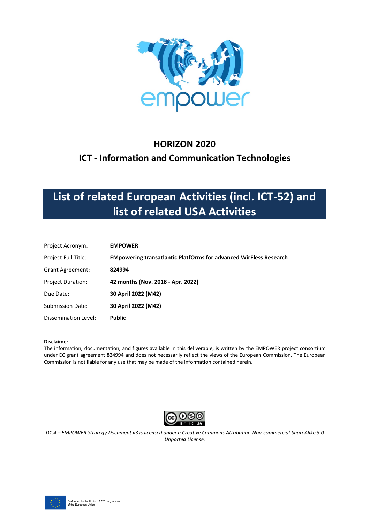

### **HORIZON 2020**

### **ICT - Information and Communication Technologies**

# **List of related European Activities (incl. ICT-52) and list of related USA Activities**

| Project Acronym:         | <b>EMPOWER</b>                                                           |
|--------------------------|--------------------------------------------------------------------------|
| Project Full Title:      | <b>EMpowering transatlantic PlatfOrms for advanced WirEless Research</b> |
| Grant Agreement:         | 824994                                                                   |
| <b>Project Duration:</b> | 42 months (Nov. 2018 - Apr. 2022)                                        |
| Due Date:                | 30 April 2022 (M42)                                                      |
| <b>Submission Date:</b>  | 30 April 2022 (M42)                                                      |
| Dissemination Level:     | <b>Public</b>                                                            |

#### **Disclaimer**

The information, documentation, and figures available in this deliverable, is written by the EMPOWER project consortium under EC grant agreement 824994 and does not necessarily reflect the views of the European Commission. The European Commission is not liable for any use that may be made of the information contained herein.



*D1.4 – EMPOWER Strategy Document v3 is licensed under a Creative Commons Attribution-Non-commercial-ShareAlike 3.0 Unported License.*

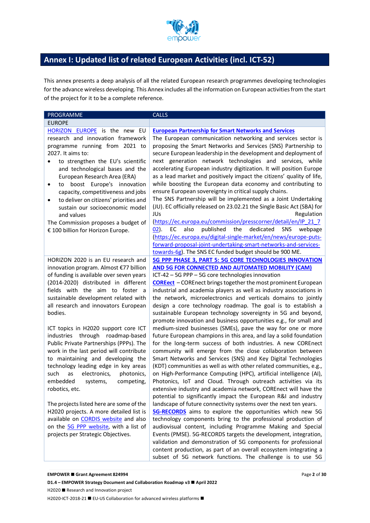

### **Annex I: Updated list of related European Activities (incl. ICT-52)**

This annex presents a deep analysis of all the related European research programmes developing technologies for the advance wireless developing. This Annex includes all the information on European activities from the start of the project for it to be a complete reference.

| PROGRAMME                                                                                                                                                                                                                                                                                                                                                                                                                                                                                                                                                                                                                                                                                                                                                                                                                                                       | <b>CALLS</b>                                                                                                                                                                                                                                                                                                                                                                                                                                                                                                                                                                                                                                                                                                                                                                                                                                                                                                                                                                                                                                                                                                                                                                                                                                                                                                                                                                                                                                                                                                                                                                                                                                                                                                                                                                                                              |
|-----------------------------------------------------------------------------------------------------------------------------------------------------------------------------------------------------------------------------------------------------------------------------------------------------------------------------------------------------------------------------------------------------------------------------------------------------------------------------------------------------------------------------------------------------------------------------------------------------------------------------------------------------------------------------------------------------------------------------------------------------------------------------------------------------------------------------------------------------------------|---------------------------------------------------------------------------------------------------------------------------------------------------------------------------------------------------------------------------------------------------------------------------------------------------------------------------------------------------------------------------------------------------------------------------------------------------------------------------------------------------------------------------------------------------------------------------------------------------------------------------------------------------------------------------------------------------------------------------------------------------------------------------------------------------------------------------------------------------------------------------------------------------------------------------------------------------------------------------------------------------------------------------------------------------------------------------------------------------------------------------------------------------------------------------------------------------------------------------------------------------------------------------------------------------------------------------------------------------------------------------------------------------------------------------------------------------------------------------------------------------------------------------------------------------------------------------------------------------------------------------------------------------------------------------------------------------------------------------------------------------------------------------------------------------------------------------|
| <b>EUROPE</b>                                                                                                                                                                                                                                                                                                                                                                                                                                                                                                                                                                                                                                                                                                                                                                                                                                                   |                                                                                                                                                                                                                                                                                                                                                                                                                                                                                                                                                                                                                                                                                                                                                                                                                                                                                                                                                                                                                                                                                                                                                                                                                                                                                                                                                                                                                                                                                                                                                                                                                                                                                                                                                                                                                           |
| HORIZON EUROPE is the new EU<br>research and innovation framework<br>programme running from 2021 to<br>2027. It aims to:<br>to strengthen the EU's scientific<br>and technological bases and the<br>European Research Area (ERA)<br>boost Europe's innovation<br>to<br>capacity, competitiveness and jobs<br>to deliver on citizens' priorities and<br>٠<br>sustain our socioeconomic model<br>and values<br>The Commission proposes a budget of<br>€ 100 billion for Horizon Europe.                                                                                                                                                                                                                                                                                                                                                                           | <b>European Partnership for Smart Networks and Services</b><br>The European communication networking and services sector is<br>proposing the Smart Networks and Services (SNS) Partnership to<br>secure European leadership in the development and deployment of<br>next generation network technologies and services, while<br>accelerating European industry digitization. It will position Europe<br>as a lead market and positively impact the citizens' quality of life,<br>while boosting the European data economy and contributing to<br>ensure European sovereignty in critical supply chains.<br>The SNS Partnership will be implemented as a Joint Undertaking<br>(JU). EC officially released on 23.02.21 the Single Basic Act (SBA) for<br>JUs<br>Regulation<br>(https://ec.europa.eu/commission/presscorner/detail/en/IP 21 7<br>also<br>published<br>the<br>dedicated<br>$(02)$ .<br>EC<br><b>SNS</b><br>webpage<br>(https://ec.europa.eu/digital-single-market/en/news/europe-puts-<br>forward-proposal-joint-undertaking-smart-networks-and-services-                                                                                                                                                                                                                                                                                                                                                                                                                                                                                                                                                                                                                                                                                                                                                    |
| HORIZON 2020 is an EU research and<br>innovation program. Almost €77 billion<br>of funding is available over seven years<br>(2014-2020) distributed in different<br>fields with the aim to foster a<br>sustainable development related with<br>all research and innovators European<br>bodies.<br>ICT topics in H2020 support core ICT<br>industries through roadmap-based<br>Public Private Partnerships (PPPs). The<br>work in the last period will contribute<br>to maintaining and developing the<br>technology leading edge in key areas<br>such<br>as<br>electronics,<br>photonics,<br>embedded<br>competing,<br>systems,<br>robotics, etc.<br>The projects listed here are some of the<br>H2020 projects. A more detailed list is<br>available on CORDIS website and also<br>on the 5G PPP website, with a list of<br>projects per Strategic Objectives. | towards-6g). The SNS EC funded budget should be 900 ME.<br>5G PPP PHASE 3, PART 5: 5G CORE TECHNOLOGIES INNOVATION<br>AND 5G FOR CONNECTED AND AUTOMATED MOBILITY (CAM)<br>ICT-42 - 5G PPP - 5G core technologies innovation<br><b>COREect</b> - COREnect brings together the most prominent European<br>industrial and academia players as well as industry associations in<br>the network, microelectronics and verticals domains to jointly<br>design a core technology roadmap. The goal is to establish a<br>sustainable European technology sovereignty in 5G and beyond,<br>promote innovation and business opportunities e.g., for small and<br>medium-sized businesses (SMEs), pave the way for one or more<br>future European champions in this area, and lay a solid foundation<br>for the long-term success of both industries. A new COREnect<br>community will emerge from the close collaboration between<br>Smart Networks and Services (SNS) and Key Digital Technologies<br>(KDT) communities as well as with other related communities, e.g.,<br>on High-Performance Computing (HPC), artificial intelligence (AI),<br>Photonics, IoT and Cloud. Through outreach activities via its<br>extensive industry and academia network, COREnect will have the<br>potential to significantly impact the European R&I and industry<br>landscape of future connectivity systems over the next ten years.<br>5G-RECORDS aims to explore the opportunities which new 5G<br>technology components bring to the professional production of<br>audiovisual content, including Programme Making and Special<br>Events (PMSE). 5G-RECORDS targets the development, integration,<br>validation and demonstration of 5G components for professional<br>content production, as part of an overall ecosystem integrating a |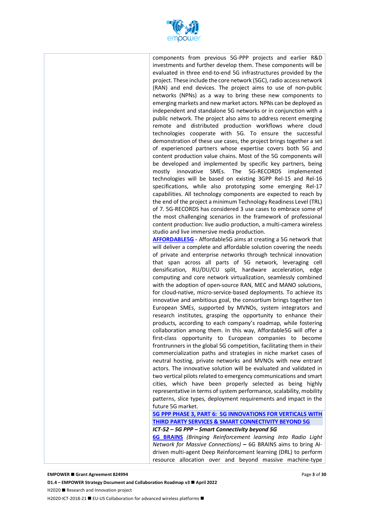

components from previous 5G-PPP projects and earlier R&D investments and further develop them. These components will be evaluated in three end-to-end 5G infrastructures provided by the project. These include the core network (5GC), radio access network (RAN) and end devices. The project aims to use of non-public networks (NPNs) as a way to bring these new components to emerging markets and new market actors. NPNs can be deployed as independent and standalone 5G networks or in conjunction with a public network. The project also aims to address recent emerging remote and distributed production workflows where cloud technologies cooperate with 5G. To ensure the successful demonstration of these use cases, the project brings together a set of experienced partners whose expertise covers both 5G and content production value chains. Most of the 5G components will be developed and implemented by specific key partners, being mostly innovative SMEs. The 5G-RECORDS implemented technologies will be based on existing 3GPP Rel-15 and Rel-16 specifications, while also prototyping some emerging Rel-17 capabilities. All technology components are expected to reach by the end of the project a minimum Technology Readiness Level (TRL) of 7. 5G-RECORDS has considered 3 use cases to embrace some of the most challenging scenarios in the framework of professional content production: live audio production, a multi-camera wireless studio and live immersive media production.

**AFFORDABLE5G -** Affordable5G aims at creating a 5G network that will deliver a complete and affordable solution covering the needs of private and enterprise networks through technical innovation that span across all parts of 5G network, leveraging cell densification, RU/DU/CU split, hardware acceleration, edge computing and core network virtualization, seamlessly combined with the adoption of open-source RAN, MEC and MANO solutions, for cloud-native, micro-service-based deployments. To achieve its innovative and ambitious goal, the consortium brings together ten European SMEs, supported by MVNOs, system integrators and research institutes, grasping the opportunity to enhance their products, according to each company's roadmap, while fostering collaboration among them. In this way, Affordable5G will offer a first-class opportunity to European companies to become frontrunners in the global 5G competition, facilitating them in their commercialization paths and strategies in niche market cases of neutral hosting, private networks and MVNOs with new entrant actors. The innovative solution will be evaluated and validated in two vertical pilots related to emergency communications and smart cities, which have been properly selected as being highly representative in terms of system performance, scalability, mobility patterns, slice types, deployment requirements and impact in the future 5G market.

**5G PPP PHASE 3, PART 6: 5G INNOVATIONS FOR VERTICALS WITH THIRD PARTY SERVICES & SMART CONNECTIVITY BEYOND 5G** *ICT-52 – 5G PPP – Smart Connectivity beyond 5G*

**6G BRAINS** *(Bringing Reinforcement learning Into Radio Light Network for Massive Connections)* **–** 6G BRAINS aims to bring AIdriven multi-agent Deep Reinforcement learning (DRL) to perform resource allocation over and beyond massive machine-type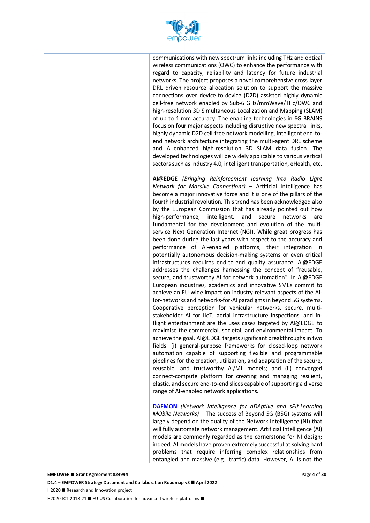

communications with new spectrum links including THz and optical wireless communications (OWC) to enhance the performance with regard to capacity, reliability and latency for future industrial networks. The project proposes a novel comprehensive cross-layer DRL driven resource allocation solution to support the massive connections over device-to-device (D2D) assisted highly dynamic cell-free network enabled by Sub-6 GHz/mmWave/THz/OWC and high-resolution 3D Simultaneous Localization and Mapping (SLAM) of up to 1 mm accuracy. The enabling technologies in 6G BRAINS focus on four major aspects including disruptive new spectral links, highly dynamic D2D cell-free network modelling, intelligent end-toend network architecture integrating the multi-agent DRL scheme and AI-enhanced high-resolution 3D SLAM data fusion. The developed technologies will be widely applicable to various vertical sectors such as Industry 4.0, intelligent transportation, eHealth, etc.

**AI@EDGE** *(Bringing Reinforcement learning Into Radio Light Network for Massive Connections)* **–** Artificial Intelligence has become a major innovative force and it is one of the pillars of the fourth industrial revolution. This trend has been acknowledged also by the European Commission that has already pointed out how high-performance, intelligent, and secure networks are fundamental for the development and evolution of the multiservice Next Generation Internet (NGI). While great progress has been done during the last years with respect to the accuracy and performance of AI-enabled platforms, their integration in potentially autonomous decision-making systems or even critical infrastructures requires end-to-end quality assurance. AI@EDGE addresses the challenges harnessing the concept of "reusable, secure, and trustworthy AI for network automation". In AI@EDGE European industries, academics and innovative SMEs commit to achieve an EU-wide impact on industry-relevant aspects of the AIfor-networks and networks-for-AI paradigms in beyond 5G systems. Cooperative perception for vehicular networks, secure, multistakeholder AI for IIoT, aerial infrastructure inspections, and inflight entertainment are the uses cases targeted by AI@EDGE to maximise the commercial, societal, and environmental impact. To achieve the goal, AI@EDGE targets significant breakthroughs in two fields: (i) general-purpose frameworks for closed-loop network automation capable of supporting flexible and programmable pipelines for the creation, utilization, and adaptation of the secure, reusable, and trustworthy AI/ML models; and (ii) converged connect-compute platform for creating and managing resilient, elastic, and secure end-to-end slices capable of supporting a diverse range of AI-enabled network applications.

**DAEMON** *(Network intelligence for aDAptive and sElf-Learning MObile Networks)* **–** The success of Beyond 5G (B5G) systems will largely depend on the quality of the Network Intelligence (NI) that will fully automate network management. Artificial Intelligence (AI) models are commonly regarded as the cornerstone for NI design; indeed, AI models have proven extremely successful at solving hard problems that require inferring complex relationships from entangled and massive (e.g., traffic) data. However, AI is not the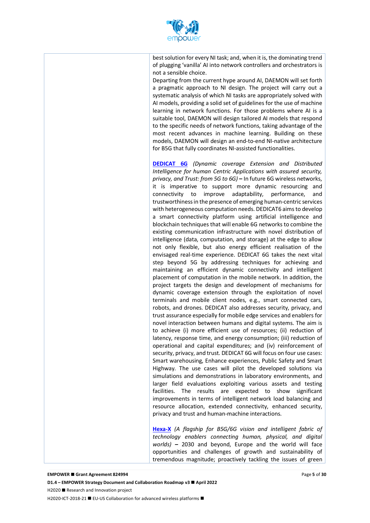

best solution for every NI task; and, when it is, the dominating trend of plugging 'vanilla' AI into network controllers and orchestrators is not a sensible choice.

Departing from the current hype around AI, DAEMON will set forth a pragmatic approach to NI design. The project will carry out a systematic analysis of which NI tasks are appropriately solved with AI models, providing a solid set of guidelines for the use of machine learning in network functions. For those problems where AI is a suitable tool, DAEMON will design tailored AI models that respond to the specific needs of network functions, taking advantage of the most recent advances in machine learning. Building on these models, DAEMON will design an end-to-end NI-native architecture for B5G that fully coordinates NI-assisted functionalities.

**DEDICAT 6G** *(Dynamic coverage Extension and Distributed Intelligence for human Centric Applications with assured security, privacy, and Trust: from 5G to 6G)* **–** In future 6G wireless networks, it is imperative to support more dynamic resourcing and connectivity to improve adaptability, performance, and trustworthiness in the presence of emerging human-centric services with heterogeneous computation needs. DEDICAT6 aims to develop a smart connectivity platform using artificial intelligence and blockchain techniques that will enable 6G networks to combine the existing communication infrastructure with novel distribution of intelligence (data, computation, and storage) at the edge to allow not only flexible, but also energy efficient realisation of the envisaged real-time experience. DEDICAT 6G takes the next vital step beyond 5G by addressing techniques for achieving and maintaining an efficient dynamic connectivity and intelligent placement of computation in the mobile network. In addition, the project targets the design and development of mechanisms for dynamic coverage extension through the exploitation of novel terminals and mobile client nodes, e.g., smart connected cars, robots, and drones. DEDICAT also addresses security, privacy, and trust assurance especially for mobile edge services and enablers for novel interaction between humans and digital systems. The aim is to achieve (i) more efficient use of resources; (ii) reduction of latency, response time, and energy consumption; (iii) reduction of operational and capital expenditures; and (iv) reinforcement of security, privacy, and trust. DEDICAT 6G will focus on four use cases: Smart warehousing, Enhance experiences, Public Safety and Smart Highway. The use cases will pilot the developed solutions via simulations and demonstrations in laboratory environments, and larger field evaluations exploiting various assets and testing facilities. The results are expected to show significant improvements in terms of intelligent network load balancing and resource allocation, extended connectivity, enhanced security, privacy and trust and human-machine interactions.

**Hexa-X** *(A flagship for B5G/6G vision and intelligent fabric of technology enablers connecting human, physical, and digital worlds)* **–** 2030 and beyond, Europe and the world will face opportunities and challenges of growth and sustainability of tremendous magnitude; proactively tackling the issues of green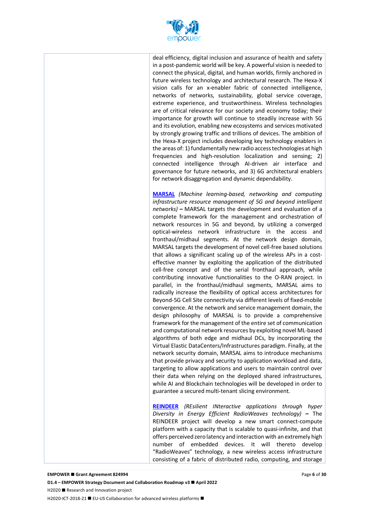

deal efficiency, digital inclusion and assurance of health and safety in a post-pandemic world will be key. A powerful vision is needed to connect the physical, digital, and human worlds, firmly anchored in future wireless technology and architectural research. The Hexa-X vision calls for an x-enabler fabric of connected intelligence, networks of networks, sustainability, global service coverage, extreme experience, and trustworthiness. Wireless technologies are of critical relevance for our society and economy today; their importance for growth will continue to steadily increase with 5G and its evolution, enabling new ecosystems and services motivated by strongly growing traffic and trillions of devices. The ambition of the Hexa-X project includes developing key technology enablers in the areas of: 1) fundamentally new radio access technologies at high frequencies and high-resolution localization and sensing; 2) connected intelligence through AI-driven air interface and governance for future networks, and 3) 6G architectural enablers for network disaggregation and dynamic dependability.

**MARSAL** *(Machine learning-based, networking and computing infrastructure resource management of 5G and beyond intelligent networks)* **–** MARSAL targets the development and evaluation of a complete framework for the management and orchestration of network resources in 5G and beyond, by utilizing a converged optical-wireless network infrastructure in the access and fronthaul/midhaul segments. At the network design domain, MARSAL targets the development of novel cell-free based solutions that allows a significant scaling up of the wireless APs in a costeffective manner by exploiting the application of the distributed cell-free concept and of the serial fronthaul approach, while contributing innovative functionalities to the O-RAN project. In parallel, in the fronthaul/midhaul segments, MARSAL aims to radically increase the flexibility of optical access architectures for Beyond-5G Cell Site connectivity via different levels of fixed-mobile convergence. At the network and service management domain, the design philosophy of MARSAL is to provide a comprehensive framework for the management of the entire set of communication and computational network resources by exploiting novel ML-based algorithms of both edge and midhaul DCs, by incorporating the Virtual Elastic DataCenters/Infrastructures paradigm. Finally, at the network security domain, MARSAL aims to introduce mechanisms that provide privacy and security to application workload and data, targeting to allow applications and users to maintain control over their data when relying on the deployed shared infrastructures, while AI and Blockchain technologies will be developed in order to guarantee a secured multi-tenant slicing environment.

**REINDEER** *(REsilient INteractive applications through hyper Diversity in Energy Efficient RadioWeaves technology)* **–** The REINDEER project will develop a new smart connect-compute platform with a capacity that is scalable to quasi-infinite, and that offers perceived zero latency and interaction with an extremely high number of embedded devices. It will thereto develop "RadioWeaves" technology, a new wireless access infrastructure consisting of a fabric of distributed radio, computing, and storage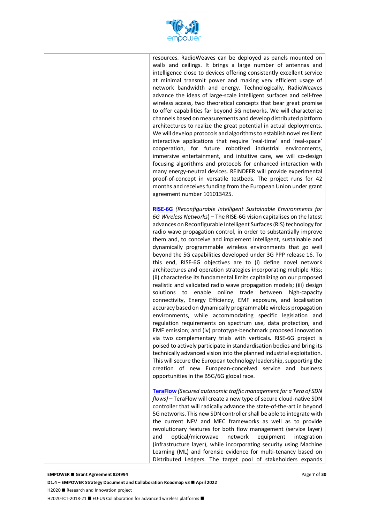

resources. RadioWeaves can be deployed as panels mounted on walls and ceilings. It brings a large number of antennas and intelligence close to devices offering consistently excellent service at minimal transmit power and making very efficient usage of network bandwidth and energy. Technologically, RadioWeaves advance the ideas of large-scale intelligent surfaces and cell-free wireless access, two theoretical concepts that bear great promise to offer capabilities far beyond 5G networks. We will characterize channels based on measurements and develop distributed platform architectures to realize the great potential in actual deployments. We will develop protocols and algorithms to establish novel resilient interactive applications that require 'real-time' and 'real-space' cooperation, for future robotized industrial environments, immersive entertainment, and intuitive care, we will co-design focusing algorithms and protocols for enhanced interaction with many energy-neutral devices. REINDEER will provide experimental proof-of-concept in versatile testbeds. The project runs for 42 months and receives funding from the European Union under grant agreement number 101013425.

**RISE-6G** *(Reconfigurable Intelligent Sustainable Environments for 6G Wireless Networks*) **–** The RISE-6G vision capitalises on the latest advances on Reconfigurable Intelligent Surfaces (RIS) technology for radio wave propagation control, in order to substantially improve them and, to conceive and implement intelligent, sustainable and dynamically programmable wireless environments that go well beyond the 5G capabilities developed under 3G PPP release 16. To this end, RISE-6G objectives are to (i) define novel network architectures and operation strategies incorporating multiple RISs; (ii) characterise its fundamental limits capitalizing on our proposed realistic and validated radio wave propagation models; (iii) design solutions to enable online trade between high-capacity connectivity, Energy Efficiency, EMF exposure, and localisation accuracy based on dynamically programmable wireless propagation environments, while accommodating specific legislation and regulation requirements on spectrum use, data protection, and EMF emission; and (iv) prototype-benchmark proposed innovation via two complementary trials with verticals. RISE-6G project is poised to actively participate in standardisation bodies and bring its technically advanced vision into the planned industrial exploitation. This will secure the European technology leadership, supporting the creation of new European-conceived service and business opportunities in the B5G/6G global race.

**TeraFlow** *(Secured autonomic traffic management for a Tera of SDN flows)* **–** TeraFlow will create a new type of secure cloud-native SDN controller that will radically advance the state-of-the-art in beyond 5G networks. This new SDN controller shall be able to integrate with the current NFV and MEC frameworks as well as to provide revolutionary features for both flow management (service layer) and optical/microwave network equipment integration (infrastructure layer), while incorporating security using Machine Learning (ML) and forensic evidence for multi-tenancy based on Distributed Ledgers. The target pool of stakeholders expands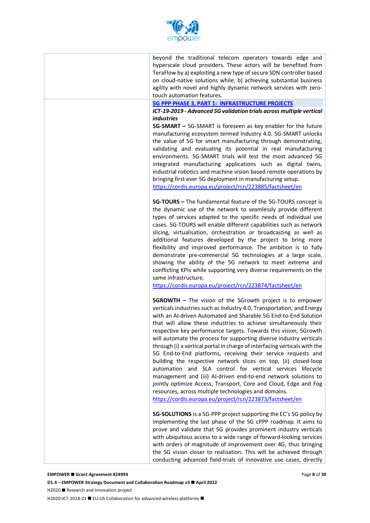

beyond the traditional telecom operators towards edge and hyperscale cloud providers. These actors will be benefited from TeraFlow by a) exploiting a new type of secure SDN controller based on cloud-native solutions while, b) achieving substantial business agility with novel and highly dynamic network services with zerotouch automation features.

#### **5G PPP PHASE 3, PART 1: INFRASTRUCTURE PROJECTS**

#### *ICT-19-2019 - Advanced 5G validation trials across multiple vertical industries*

**5G-SMART –** 5G-SMART is foreseen as key enabler for the future manufacturing ecosystem termed Industry 4.0. 5G-SMART unlocks the value of 5G for smart manufacturing through demonstrating, validating and evaluating its potential in real manufacturing environments. 5G-SMART trials will test the most advanced 5G integrated manufacturing applications such as digital twins, industrial robotics and machine vision based remote operations by bringing first ever 5G deployment in manufacturing setup. https://cordis.europa.eu/project/rcn/223885/factsheet/en

**5G-TOURS –** The fundamental feature of the 5G-TOURS concept is the dynamic use of the network to seamlessly provide different types of services adapted to the specific needs of individual use cases. 5G-TOURS will enable different capabilities such as network slicing, virtualisation, orchestration or broadcasting as well as additional features developed by the project to bring more flexibility and improved performance. The ambition is to fully demonstrate pre-commercial 5G technologies at a large scale, showing the ability of the 5G network to meet extreme and conflicting KPIs while supporting very diverse requirements on the same infrastructure.

https://cordis.europa.eu/project/rcn/223874/factsheet/en

**5GROWTH –** The vision of the 5Growth project is to empower verticals industries such as Industry 4.0, Transportation, and Energy with an AI-driven Automated and Sharable 5G End-to-End Solution that will allow these industries to achieve simultaneously their respective key performance targets. Towards this vision, 5Growth will automate the process for supporting diverse industry verticals through (i) a vertical portal in charge of interfacing verticals with the 5G End-to-End platforms, receiving their service requests and building the respective network slices on top, (ii) closed-loop automation and SLA control for vertical services lifecycle management and (iii) AI-driven end-to-end network solutions to jointly optimize Access, Transport, Core and Cloud, Edge and Fog resources, across multiple technologies and domains.

https://cordis.europa.eu/project/rcn/223873/factsheet/en

**5G-SOLUTIONS** is a 5G-PPP project supporting the EC's 5G policy by implementing the last phase of the 5G cPPP roadmap. It aims to prove and validate that 5G provides prominent industry verticals with ubiquitous access to a wide range of forward-looking services with orders of magnitude of improvement over 4G, thus bringing the 5G vision closer to realisation. This will be achieved through conducting advanced field-trials of innovative use cases, directly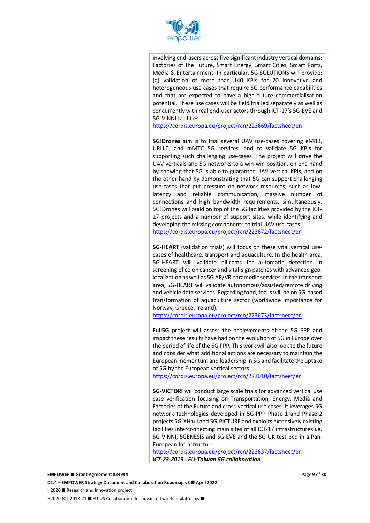

involving end-users across five significant industry vertical domains: Factories of the Future, Smart Energy, Smart Cities, Smart Ports, Media & Entertainment. In particular, 5G-SOLUTIONS will provide: (a) validation of more than 140 KPIs for 20 innovative and heterogeneous use cases that require 5G performance capabilities and that are expected to have a high future commercialisation potential. These use cases will be field trialled separately as well as concurrently with real end-user actors through ICT-17's 5G-EVE and 5G-VINNI facilities.

https://cordis.europa.eu/project/rcn/223669/factsheet/en

**5G!Drones** aim is to trial several UAV use-cases covering eMBB, URLLC, and mMTC 5G services, and to validate 5G KPIs for supporting such challenging use-cases. The project will drive the UAV verticals and 5G networks to a win-win position, on one hand by showing that 5G is able to guarantee UAV vertical KPIs, and on the other hand by demonstrating that 5G can support challenging use-cases that put pressure on network resources, such as lowlatency and reliable communication, massive number of connections and high bandwidth requirements, simultaneously. 5G!Drones will build on top of the 5G facilities provided by the ICT-17 projects and a number of support sites, while identifying and developing the missing components to trial UAV use-cases. https://cordis.europa.eu/project/rcn/223672/factsheet/en

**5G-HEART** (validation trials) will focus on these vital vertical usecases of healthcare, transport and aquaculture. In the health area, 5G-HEART will validate pillcams for automatic detection in screening of colon cancer and vital-sign patches with advanced geolocalization as well as 5G AR/VR paramedic services. In the transport area, 5G-HEART will validate autonomous/assisted/remote driving and vehicle data services. Regarding food, focus will be on 5G-based transformation of aquaculture sector (worldwide importance for Norway, Greece, Ireland).

https://cordis.europa.eu/project/rcn/223673/factsheet/en

**Full5G** project will assess the achievements of the 5G PPP and impact these results have had on the evolution of 5G in Europe over the period of life of the 5G PPP. This work will also look to the future and consider what additional actions are necessary to maintain the European momentum and leadership in 5G and facilitate the uptake of 5G by the European vertical sectors.

https://cordis.europa.eu/project/rcn/223010/factsheet/en

**5G-VICTORI** will conduct large scale trials for advanced vertical use case verification focusing on Transportation, Energy, Media and Factories of the Future and cross-vertical use cases. It leverages 5G network technologies developed in 5G-PPP Phase-1 and Phase-2 projects 5G-XHaul and 5G-PICTURE and exploits extensively existing facilities interconnecting main sites of all ICT-17 infrastructures i.e. 5G-VINNI, 5GENESIS and 5G-EVE and the 5G UK test-bed in a Pan-European Infrastructure.

https://cordis.europa.eu/project/rcn/223637/factsheet/en *ICT-23-2019 - EU-Taiwan 5G collaboration*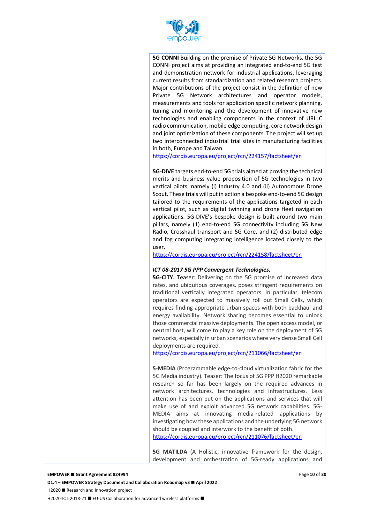

**5G CONNI** Building on the premise of Private 5G Networks, the 5G CONNI project aims at providing an integrated end-to-end 5G test and demonstration network for industrial applications, leveraging current results from standardization and related research projects. Major contributions of the project consist in the definition of new Private 5G Network architectures and operator models, measurements and tools for application specific network planning, tuning and monitoring and the development of innovative new technologies and enabling components in the context of URLLC radio communication, mobile edge computing, core network design and joint optimization of these components. The project will set up two interconnected industrial trial sites in manufacturing facilities in both, Europe and Taiwan.

https://cordis.europa.eu/project/rcn/224157/factsheet/en

**5G-DIVE** targets end-to-end 5G trials aimed at proving the technical merits and business value proposition of 5G technologies in two vertical pilots, namely (i) Industry 4.0 and (ii) Autonomous Drone Scout. These trials will put in action a bespoke end-to-end 5G design tailored to the requirements of the applications targeted in each vertical pilot, such as digital twinning and drone fleet navigation applications. 5G-DIVE's bespoke design is built around two main pillars, namely (1) end-to-end 5G connectivity including 5G New Radio, Crosshaul transport and 5G Core, and (2) distributed edge and fog computing integrating intelligence located closely to the user.

https://cordis.europa.eu/project/rcn/224158/factsheet/en

#### *ICT 08-2017 5G PPP Convergent Technologies.*

**5G-CITY.** Teaser: Delivering on the 5G promise of increased data rates, and ubiquitous coverages, poses stringent requirements on traditional vertically integrated operators. In particular, telecom operators are expected to massively roll out Small Cells, which requires finding appropriate urban spaces with both backhaul and energy availability. Network sharing becomes essential to unlock those commercial massive deployments. The open access model, or neutral host, will come to play a key role on the deployment of 5G networks, especially in urban scenarios where very dense Small Cell deployments are required.

https://cordis.europa.eu/project/rcn/211066/factsheet/en

**5-MEDIA** (Programmable edge-to-cloud virtualization fabric for the 5G Media industry). Teaser: The focus of 5G PPP H2020 remarkable research so far has been largely on the required advances in network architectures, technologies and infrastructures. Less attention has been put on the applications and services that will make use of and exploit advanced 5G network capabilities. 5G-MEDIA aims at innovating media-related applications by investigating how these applications and the underlying 5G network should be coupled and interwork to the benefit of both.

https://cordis.europa.eu/project/rcn/211076/factsheet/en

**5G MATILDA** (A Holistic, innovative framework for the design, development and orchestration of 5G-ready applications and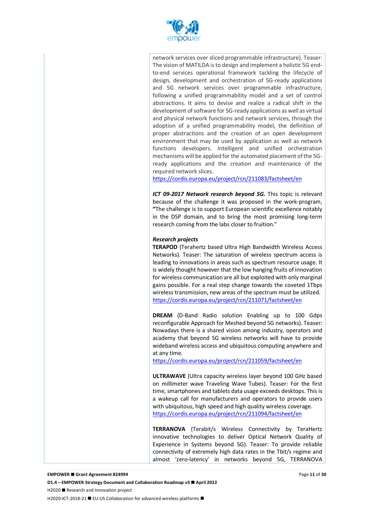

network services over sliced programmable infrastructure). Teaser: The vision of MATILDA is to design and implement a holistic 5G endto-end services operational framework tackling the lifecycle of design, development and orchestration of 5G-ready applications and 5G network services over programmable infrastructure, following a unified programmability model and a set of control abstractions. It aims to devise and realize a radical shift in the development of software for 5G-ready applications as well as virtual and physical network functions and network services, through the adoption of a unified programmability model, the definition of proper abstractions and the creation of an open development environment that may be used by application as well as network functions developers. Intelligent and unified orchestration mechanisms will be applied for the automated placement of the 5Gready applications and the creation and maintenance of the required network slices.

https://cordis.europa.eu/project/rcn/211083/factsheet/en

*ICT 09-2017 Network research beyond 5G.* This topic is relevant because of the challenge it was proposed in the work-program, **"**The challenge is to support European scientific excellence notably in the DSP domain, and to bring the most promising long-term research coming from the labs closer to fruition."

#### *Research projects*

**TERAPOD** (Terahertz based Ultra High Bandwidth Wireless Access Networks). Teaser: The saturation of wireless spectrum access is leading to innovations in areas such as spectrum resource usage. It is widely thought however that the low hanging fruits of innovation for wireless communication are all but exploited with only marginal gains possible. For a real step change towards the coveted 1Tbps wireless transmission, new areas of the spectrum must be utilized. https://cordis.europa.eu/project/rcn/211071/factsheet/en

**DREAM** (D-Band Radio solution Enabling up to 100 Gdps reconfigurable Approach for Meshed beyond 5G networks). Teaser: Nowadays there is a shared vision among industry, operators and academy that beyond 5G wireless networks will have to provide wideband wireless access and ubiquitous computing anywhere and at any time.

https://cordis.europa.eu/project/rcn/211059/factsheet/en

**ULTRAWAVE** (Ultra capacity wireless layer beyond 100 GHz based on millimeter wave Traveling Wave Tubes). Teaser: For the first time, smartphones and tablets data usage exceeds desktops. This is a wakeup call for manufacturers and operators to provide users with ubiquitous, high speed and high quality wireless coverage. https://cordis.europa.eu/project/rcn/211094/factsheet/en

**TERRANOVA** (Terabit/s Wireless Connectivity by TeraHertz innovative technologies to deliver Optical Network Quality of Experience in Systems beyond 5G). Teaser: To provide reliable connectivity of extremely high data rates in the Tbit/s regime and almost 'zero-latency' in networks beyond 5G, TERRANOVA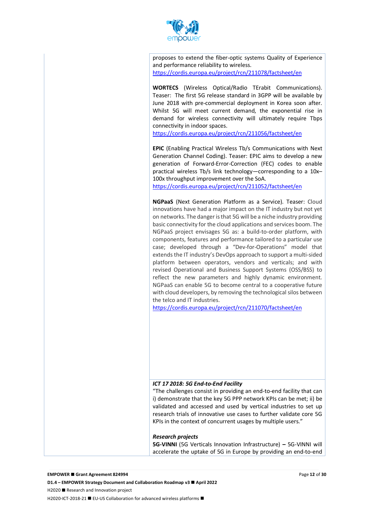

proposes to extend the fiber-optic systems Quality of Experience and performance reliability to wireless. https://cordis.europa.eu/project/rcn/211078/factsheet/en

**WORTECS** (Wireless Optical/Radio TErabit Communications). Teaser: The first 5G release standard in 3GPP will be available by June 2018 with pre-commercial deployment in Korea soon after. Whilst 5G will meet current demand, the exponential rise in demand for wireless connectivity will ultimately require Tbps connectivity in indoor spaces.

https://cordis.europa.eu/project/rcn/211056/factsheet/en

**EPIC** (Enabling Practical Wireless Tb/s Communications with Next Generation Channel Coding). Teaser: EPIC aims to develop a new generation of Forward-Error-Correction (FEC) codes to enable practical wireless Tb/s link technology—corresponding to a 10x– 100x throughput improvement over the SoA.

https://cordis.europa.eu/project/rcn/211052/factsheet/en

**NGPaaS** (Next Generation Platform as a Service). Teaser: Cloud innovations have had a major impact on the IT industry but not yet on networks. The danger is that 5G will be a niche industry providing basic connectivity for the cloud applications and services boom. The NGPaaS project envisages 5G as: a build-to-order platform, with components, features and performance tailored to a particular use case; developed through a "Dev-for-Operations" model that extends the IT industry's DevOps approach to support a multi-sided platform between operators, vendors and verticals; and with revised Operational and Business Support Systems (OSS/BSS) to reflect the new parameters and highly dynamic environment. NGPaaS can enable 5G to become central to a cooperative future with cloud developers, by removing the technological silos between the telco and IT industries.

https://cordis.europa.eu/project/rcn/211070/factsheet/en

#### *ICT 17 2018: 5G End-to-End Facility*

"The challenges consist in providing an end-to-end facility that can i) demonstrate that the key 5G PPP network KPIs can be met; ii) be validated and accessed and used by vertical industries to set up research trials of innovative use cases to further validate core 5G KPIs in the context of concurrent usages by multiple users."

#### *Research projects*

**5G-VINNI** (5G Verticals Innovation Infrastructure) **–** 5G-VINNI will accelerate the uptake of 5G in Europe by providing an end-to-end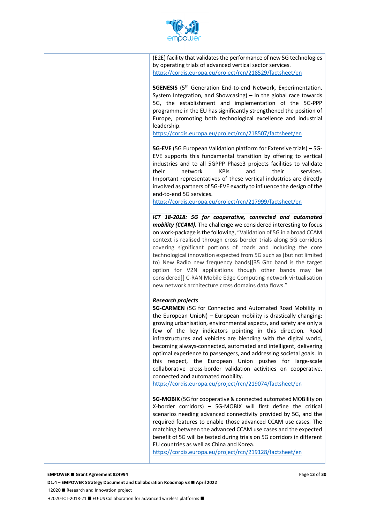

(E2E) facility that validates the performance of new 5G technologies by operating trials of advanced vertical sector services. https://cordis.europa.eu/project/rcn/218529/factsheet/en

**5GENESIS** (5<sup>th</sup> Generation End-to-end Network, Experimentation, System Integration, and Showcasing) **–** In the global race towards 5G, the establishment and implementation of the 5G-PPP programme in the EU has significantly strengthened the position of Europe, promoting both technological excellence and industrial leadership.

https://cordis.europa.eu/project/rcn/218507/factsheet/en

**5G-EVE** (5G European Validation platform for Extensive trials) **–** 5G-EVE supports this fundamental transition by offering to vertical industries and to all 5GPPP Phase3 projects facilities to validate their network KPIs and their services. Important representatives of these vertical industries are directly involved as partners of 5G-EVE exactly to influence the design of the end-to-end 5G services.

https://cordis.europa.eu/project/rcn/217999/factsheet/en

*ICT 18-2018: 5G for cooperative, connected and automated mobility (CCAM).* The challenge we considered interesting to focus on work-package is the following, "Validation of 5G in a broad CCAM context is realised through cross border trials along 5G corridors covering significant portions of roads and including the core technological innovation expected from 5G such as (but not limited to) New Radio new frequency bands[[35 Ghz band is the target option for V2N applications though other bands may be considered]] C-RAN Mobile Edge Computing network virtualisation new network architecture cross domains data flows."

#### *Research projects*

**5G-CARMEN** (5G for Connected and Automated Road Mobility in the European UnioN) **–** European mobility is drastically changing: growing urbanisation, environmental aspects, and safety are only a few of the key indicators pointing in this direction. Road infrastructures and vehicles are blending with the digital world, becoming always-connected, automated and intelligent, delivering optimal experience to passengers, and addressing societal goals. In this respect, the European Union pushes for large-scale collaborative cross-border validation activities on cooperative, connected and automated mobility.

https://cordis.europa.eu/project/rcn/219074/factsheet/en

**5G-MOBIX** (5G for cooperative & connected automated MOBility on X-border corridors) **–** 5G-MOBIX will first define the critical scenarios needing advanced connectivity provided by 5G, and the required features to enable those advanced CCAM use cases. The matching between the advanced CCAM use cases and the expected benefit of 5G will be tested during trials on 5G corridors in different EU countries as well as China and Korea.

https://cordis.europa.eu/project/rcn/219128/factsheet/en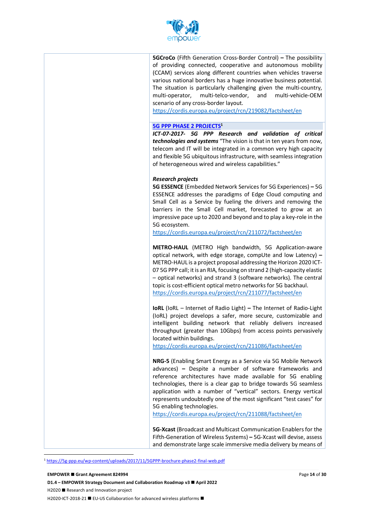

**5GCroCo** (Fifth Generation Cross-Border Control) **–** The possibility of providing connected, cooperative and autonomous mobility (CCAM) services along different countries when vehicles traverse various national borders has a huge innovative business potential. The situation is particularly challenging given the multi-country, multi-operator, multi-telco-vendor, and multi-vehicle-OEM scenario of any cross-border layout.

https://cordis.europa.eu/project/rcn/219082/factsheet/en

#### **5G PPP PHASE 2 PROJECTS1**

*ICT-07-2017- 5G PPP Research and validation of critical technologies and systems* "The vision is that in ten years from now, telecom and IT will be integrated in a common very high capacity and flexible 5G ubiquitous infrastructure, with seamless integration of heterogeneous wired and wireless capabilities."

#### *Research projects*

**5G ESSENCE** (Embedded Network Services for 5G Experiences) **–** 5G ESSENCE addresses the paradigms of Edge Cloud computing and Small Cell as a Service by fueling the drivers and removing the barriers in the Small Cell market, forecasted to grow at an impressive pace up to 2020 and beyond and to play a key-role in the 5G ecosystem.

https://cordis.europa.eu/project/rcn/211072/factsheet/en

**METRO-HAUL** (METRO High bandwidth, 5G Application-aware optical network, with edge storage, compUte and low Latency) **–** METRO-HAUL is a project proposal addressing the Horizon 2020 ICT-07 5G PPP call; it is an RIA, focusing on strand 2 (high-capacity elastic – optical networks) and strand 3 (software networks). The central topic is cost-efficient optical metro networks for 5G backhaul. https://cordis.europa.eu/project/rcn/211077/factsheet/en

**IoRL** (IoRL – Internet of Radio Light) **–** The Internet of Radio-Light (IoRL) project develops a safer, more secure, customizable and intelligent building network that reliably delivers increased throughput (greater than 10Gbps) from access points pervasively located within buildings.

https://cordis.europa.eu/project/rcn/211086/factsheet/en

**NRG-5** (Enabling Smart Energy as a Service via 5G Mobile Network advances) **–** Despite a number of software frameworks and reference architectures have made available for 5G enabling technologies, there is a clear gap to bridge towards 5G seamless application with a number of "vertical" sectors. Energy vertical represents undoubtedly one of the most significant "test cases" for 5G enabling technologies.

https://cordis.europa.eu/project/rcn/211088/factsheet/en

**5G-Xcast** (Broadcast and Multicast Communication Enablers for the Fifth-Generation of Wireless Systems) **–** 5G-Xcast will devise, assess and demonstrate large scale immersive media delivery by means of

1 https://5g-ppp.eu/wp-content/uploads/2017/11/5GPPP-brochure-phase2-final-web.pdf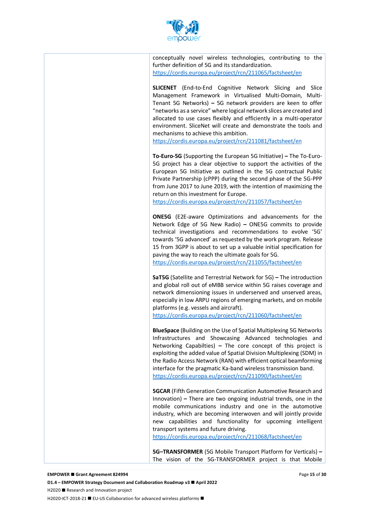

conceptually novel wireless technologies, contributing to the further definition of 5G and its standardization. https://cordis.europa.eu/project/rcn/211065/factsheet/en

**SLICENET** (End-to-End Cognitive Network Slicing and Slice Management Framework in Virtualised Multi-Domain, Multi-Tenant 5G Networks) **–** 5G network providers are keen to offer "networks as a service" where logical network slices are created and allocated to use cases flexibly and efficiently in a multi-operator environment. SliceNet will create and demonstrate the tools and mechanisms to achieve this ambition.

https://cordis.europa.eu/project/rcn/211081/factsheet/en

**To-Euro-5G** (Supporting the European 5G Initiative) **–** The To-Euro-5G project has a clear objective to support the activities of the European 5G Initiative as outlined in the 5G contractual Public Private Partnership (cPPP) during the second phase of the 5G-PPP from June 2017 to June 2019, with the intention of maximizing the return on this investment for Europe.

https://cordis.europa.eu/project/rcn/211057/factsheet/en

**ONE5G** (E2E-aware Optimizations and advancements for the Network Edge of 5G New Radio) **–** ONE5G commits to provide technical investigations and recommendations to evolve '5G' towards '5G advanced' as requested by the work program. Release 15 from 3GPP is about to set up a valuable initial specification for paving the way to reach the ultimate goals for 5G.

https://cordis.europa.eu/project/rcn/211055/factsheet/en

**SaT5G** (Satellite and Terrestrial Network for 5G) **–** The introduction and global roll out of eMBB service within 5G raises coverage and network dimensioning issues in underserved and unserved areas, especially in low ARPU regions of emerging markets, and on mobile platforms (e.g. vessels and aircraft).

https://cordis.europa.eu/project/rcn/211060/factsheet/en

**BlueSpace** (Building on the Use of Spatial Multiplexing 5G Networks Infrastructures and Showcasing Advanced technologies and Networking Capabilties) **–** The core concept of this project is exploiting the added value of Spatial Division Multiplexing (SDM) in the Radio Access Network (RAN) with efficient optical beamforming interface for the pragmatic Ka-band wireless transmission band. https://cordis.europa.eu/project/rcn/211090/factsheet/en

**5GCAR** (Fifth Generation Communication Automotive Research and Innovation) **–** There are two ongoing industrial trends, one in the mobile communications industry and one in the automotive industry, which are becoming interwoven and will jointly provide new capabilities and functionality for upcoming intelligent transport systems and future driving.

https://cordis.europa.eu/project/rcn/211068/factsheet/en

**5G–TRANSFORMER** (5G Mobile Transport Platform for Verticals) **–** The vision of the 5G-TRANSFORMER project is that Mobile

#### **EMPOWER ■ Grant Agreement 824994**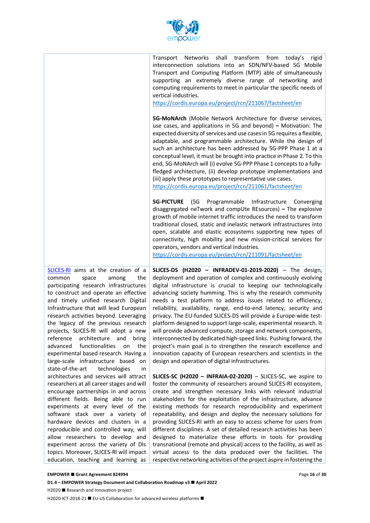

|                                                                                                                                                                                                                                                                                                                                                                                                                                                                                                                                                                                        | Transport Networks shall transform from today's rigid<br>interconnection solutions into an SDN/NFV-based 5G Mobile<br>Transport and Computing Platform (MTP) able of simultaneously<br>supporting an extremely diverse range of networking and<br>computing requirements to meet in particular the specific needs of<br>vertical industries.<br>https://cordis.europa.eu/project/rcn/211067/factsheet/en                                                                                                                                                                                                                                                                                                                                                                                                                                                                               |
|----------------------------------------------------------------------------------------------------------------------------------------------------------------------------------------------------------------------------------------------------------------------------------------------------------------------------------------------------------------------------------------------------------------------------------------------------------------------------------------------------------------------------------------------------------------------------------------|----------------------------------------------------------------------------------------------------------------------------------------------------------------------------------------------------------------------------------------------------------------------------------------------------------------------------------------------------------------------------------------------------------------------------------------------------------------------------------------------------------------------------------------------------------------------------------------------------------------------------------------------------------------------------------------------------------------------------------------------------------------------------------------------------------------------------------------------------------------------------------------|
|                                                                                                                                                                                                                                                                                                                                                                                                                                                                                                                                                                                        | 5G-MoNArch (Mobile Network Architecture for diverse services,<br>use cases, and applications in 5G and beyond) - Motivation: The<br>expected diversity of services and use cases in 5G requires a flexible,<br>adaptable, and programmable architecture. While the design of<br>such an architecture has been addressed by 5G-PPP Phase 1 at a<br>conceptual level, it must be brought into practice in Phase 2. To this<br>end, 5G-MoNArch will (i) evolve 5G-PPP Phase 1 concepts to a fully-<br>fledged architecture, (ii) develop prototype implementations and<br>(iii) apply these prototypes to representative use cases.<br>https://cordis.europa.eu/project/rcn/211061/factsheet/en                                                                                                                                                                                           |
|                                                                                                                                                                                                                                                                                                                                                                                                                                                                                                                                                                                        | <b>5G-PICTURE</b><br>(5G<br>Programmable Infrastructure Converging<br>disaggregated neTwork and compUte REsources) - The explosive<br>growth of mobile internet traffic introduces the need to transform<br>traditional closed, static and inelastic network infrastructures into<br>open, scalable and elastic ecosystems supporting new types of<br>connectivity, high mobility and new mission-critical services for<br>operators, vendors and vertical industries.<br>https://cordis.europa.eu/project/rcn/211091/factsheet/en                                                                                                                                                                                                                                                                                                                                                     |
| SLICES-RI aims at the creation of a<br>the<br>common<br>space<br>among<br>participating research infrastructures<br>to construct and operate an effective<br>and timely unified research Digital<br>Infrastructure that will lead European<br>research activities beyond. Leveraging<br>the legacy of the previous research<br>projects, SLICES-RI will adopt a new<br>architecture<br>reference<br>bring<br>and<br>advanced<br>functionalities<br>the<br>on<br>experimental based research. Having a<br>large-scale infrastructure based on<br>state-of-the-art<br>technologies<br>in | SLICES-DS (H2020 - INFRADEV-01-2019-2020) - The design,<br>deployment and operation of complex and continuously evolving<br>digital infrastructure is crucial to keeping our technologically<br>advancing society humming. This is why the research community<br>needs a test platform to address issues related to efficiency,<br>reliability, availability, range, end-to-end latency, security and<br>privacy. The EU-funded SLICES-DS will provide a Europe-wide test-<br>platform designed to support large-scale, experimental research. It<br>will provide advanced compute, storage and network components,<br>interconnected by dedicated high-speed links. Pushing forward, the<br>project's main goal is to strengthen the research excellence and<br>innovation capacity of European researchers and scientists in the<br>design and operation of digital infrastructures. |
| architectures and services will attract<br>researchers at all career stages and will<br>encourage partnerships in and across<br>different fields. Being able to run<br>experiments at every level of the<br>software stack over a variety of<br>hardware devices and clusters in a<br>reproducible and controlled way, will<br>allow researchers to develop and<br>experiment across the variety of DIs<br>topics. Moreover, SLICES-RI will impact<br>education, teaching and learning as                                                                                              | SLICES-SC (H2020 - INFRAIA-02-2020) - SLICES-SC, we aspire to<br>foster the community of researchers around SLICES-RI ecosystem,<br>create and strengthen necessary links with relevant industrial<br>stakeholders for the exploitation of the infrastructure, advance<br>existing methods for research reproducibility and experiment<br>repeatability, and design and deploy the necessary solutions for<br>providing SLICES-RI with an easy to access scheme for users from<br>different disciplines. A set of detailed research activities has been<br>designed to materialize these efforts in tools for providing<br>transnational (remote and physical) access to the facility, as well as<br>virtual access to the data produced over the facilities. The<br>respective networking activities of the project aspire in fostering the                                           |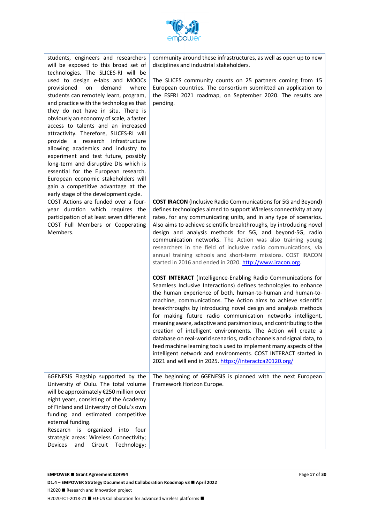

| community around these infrastructures, as well as open up to new<br>disciplines and industrial stakeholders.                                                                                                                                                                                                                                                                                                                                                                                                                                                                                                                                                                                                                                                                                                              |
|----------------------------------------------------------------------------------------------------------------------------------------------------------------------------------------------------------------------------------------------------------------------------------------------------------------------------------------------------------------------------------------------------------------------------------------------------------------------------------------------------------------------------------------------------------------------------------------------------------------------------------------------------------------------------------------------------------------------------------------------------------------------------------------------------------------------------|
| The SLICES community counts on 25 partners coming from 15<br>European countries. The consortium submitted an application to<br>the ESFRI 2021 roadmap, on September 2020. The results are<br>pending.                                                                                                                                                                                                                                                                                                                                                                                                                                                                                                                                                                                                                      |
| <b>COST IRACON</b> (Inclusive Radio Communications for 5G and Beyond)<br>defines technologies aimed to support Wireless connectivity at any<br>rates, for any communicating units, and in any type of scenarios.<br>Also aims to achieve scientific breakthroughs, by introducing novel<br>design and analysis methods for 5G, and beyond-5G, radio<br>communication networks. The Action was also training young<br>researchers in the field of inclusive radio communications, via<br>annual training schools and short-term missions. COST IRACON<br>started in 2016 and ended in 2020. http://www.iracon.org.                                                                                                                                                                                                          |
| <b>COST INTERACT</b> (Intelligence-Enabling Radio Communications for<br>Seamless Inclusive Interactions) defines technologies to enhance<br>the human experience of both, human-to-human and human-to-<br>machine, communications. The Action aims to achieve scientific<br>breakthroughs by introducing novel design and analysis methods<br>for making future radio communication networks intelligent,<br>meaning aware, adaptive and parsimonious, and contributing to the<br>creation of intelligent environments. The Action will create a<br>database on real-world scenarios, radio channels and signal data, to<br>feed machine learning tools used to implement many aspects of the<br>intelligent network and environments. COST INTERACT started in<br>2021 and will end in 2025. https://interactca20120.org/ |
| The beginning of 6GENESIS is planned with the next European<br>Framework Horizon Europe.                                                                                                                                                                                                                                                                                                                                                                                                                                                                                                                                                                                                                                                                                                                                   |
|                                                                                                                                                                                                                                                                                                                                                                                                                                                                                                                                                                                                                                                                                                                                                                                                                            |

**D1.4 − EMPOWER Strategy Document and Collaboration Roadmap v3 ■ April 2022** 

H2020 ■ Research and Innovation project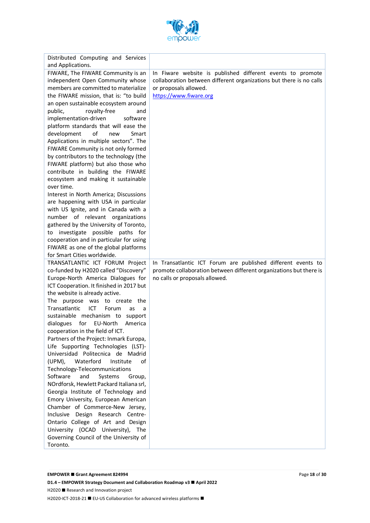

| Distributed Computing and Services                                              |                                                                     |
|---------------------------------------------------------------------------------|---------------------------------------------------------------------|
| and Applications.<br>FIWARE, The FIWARE Community is an                         | In Fiware website is published different events to promote          |
| independent Open Community whose                                                | collaboration between different organizations but there is no calls |
| members are committed to materialize                                            | or proposals allowed.                                               |
| the FIWARE mission, that is: "to build                                          | https://www.fiware.org                                              |
| an open sustainable ecosystem around                                            |                                                                     |
| royalty-free<br>public,<br>and                                                  |                                                                     |
| implementation-driven<br>software                                               |                                                                     |
| platform standards that will ease the                                           |                                                                     |
| of<br>development<br>Smart<br>new                                               |                                                                     |
| Applications in multiple sectors". The                                          |                                                                     |
| FIWARE Community is not only formed                                             |                                                                     |
| by contributors to the technology (the                                          |                                                                     |
| FIWARE platform) but also those who                                             |                                                                     |
| contribute in building the FIWARE                                               |                                                                     |
| ecosystem and making it sustainable                                             |                                                                     |
| over time.<br>Interest in North America; Discussions                            |                                                                     |
| are happening with USA in particular                                            |                                                                     |
| with US Ignite, and in Canada with a                                            |                                                                     |
| number of relevant organizations                                                |                                                                     |
| gathered by the University of Toronto,                                          |                                                                     |
| to investigate possible paths for                                               |                                                                     |
| cooperation and in particular for using                                         |                                                                     |
| FIWARE as one of the global platforms                                           |                                                                     |
| for Smart Cities worldwide.                                                     |                                                                     |
| TRANSATLANTIC ICT FORUM Project                                                 | In Transatlantic ICT Forum are published different events to        |
| co-funded by H2020 called "Discovery"                                           | promote collaboration between different organizations but there is  |
| Europe-North America Dialogues for                                              | no calls or proposals allowed.                                      |
| ICT Cooperation. It finished in 2017 but<br>the website is already active.      |                                                                     |
| The purpose was to create the                                                   |                                                                     |
| Transatlantic<br>ICT<br>Forum<br>as<br>a                                        |                                                                     |
| sustainable mechanism to support                                                |                                                                     |
| dialogues for EU-North<br>America                                               |                                                                     |
| cooperation in the field of ICT.                                                |                                                                     |
| Partners of the Project: Inmark Europa,                                         |                                                                     |
| Life Supporting Technologies (LST)-                                             |                                                                     |
| Universidad Politecnica de Madrid                                               |                                                                     |
| Waterford<br>(UPM),<br>Institute<br>of                                          |                                                                     |
| Technology-Telecommunications                                                   |                                                                     |
| Software<br>and<br>Systems<br>Group,                                            |                                                                     |
| NOrdforsk, Hewlett Packard Italiana srl,<br>Georgia Institute of Technology and |                                                                     |
| Emory University, European American                                             |                                                                     |
| Chamber of Commerce-New Jersey,                                                 |                                                                     |
| Inclusive Design Research Centre-                                               |                                                                     |
| Ontario College of Art and Design                                               |                                                                     |
| University (OCAD University), The                                               |                                                                     |
| Governing Council of the University of                                          |                                                                     |
| Toronto.                                                                        |                                                                     |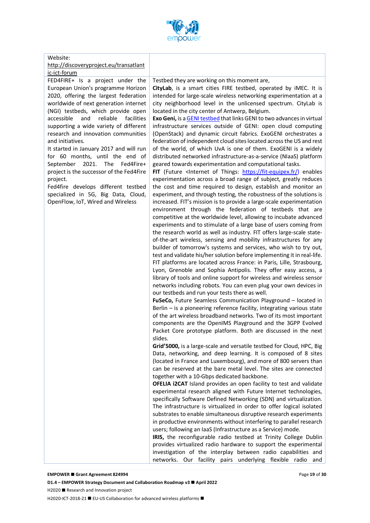

#### Website:

#### http://discoveryproject.eu/transatlant ic-ict-forum

FED4FIRE+ Is a project under the European Union's programme Horizon 2020, offering the largest federation worldwide of next generation internet (NGI) testbeds, which provide open accessible and reliable facilities supporting a wide variety of different research and innovation communities and initiatives.

It started in January 2017 and will run for 60 months, until the end of September 2021. The Fed4Fire+ project is the successor of the Fed4Fire project.

Fed4fire develops different testbed specialized in 5G, Big Data, Cloud, OpenFlow, IoT, Wired and Wireless

#### Testbed they are working on this moment are,

**CityLab**, is a smart cities FIRE testbed, operated by iMEC. It is intended for large-scale wireless networking experimentation at a city neighborhood level in the unlicensed spectrum. CityLab is located in the city center of Antwerp, Belgium.

**Exo Geni,** is a GENI testbed that links GENI to two advances in virtual infrastructure services outside of GENI: open cloud computing (OpenStack) and dynamic circuit fabrics. ExoGENI orchestrates a federation of independent cloud sites located across the US and rest of the world, of which UvA is one of them. ExoGENI is a widely distributed networked infrastructure-as-a-service (NIaaS) platform geared towards experimentation and computational tasks.

FIT (Future <Internet of Things: https://fit-equipex.fr/) enables experimentation across a broad range of subject, greatly reduces the cost and time required to design, establish and monitor an experiment, and through testing, the robustness of the solutions is increased. FIT's mission is to provide a large-scale experimentation environment through the federation of testbeds that are competitive at the worldwide level, allowing to incubate advanced experiments and to stimulate of a large base of users coming from the research world as well as industry. FIT offers large-scale stateof-the-art wireless, sensing and mobility infrastructures for any builder of tomorrow's systems and services, who wish to try out, test and validate his/her solution before implementing it in real-life. FIT platforms are located across France: in Paris, Lille, Strasbourg, Lyon, Grenoble and Sophia Antipolis. They offer easy access, a library of tools and online support for wireless and wireless sensor networks including robots. You can even plug your own devices in our testbeds and run your tests there as well.

**FuSeCo,** Future Seamless Communication Playground – located in Berlin – is a pioneering reference facility, integrating various state of the art wireless broadband networks. Two of its most important components are the OpenIMS Playground and the 3GPP Evolved Packet Core prototype platform. Both are discussed in the next slides.

**Grid'5000,** is a large-scale and versatile testbed for Cloud, HPC, Big Data, networking, and deep learning. It is composed of 8 sites (located in France and Luxembourg), and more of 800 servers than can be reserved at the bare metal level. The sites are connected together with a 10-Gbps dedicated backbone.

**OFELIA i2CAT** Island provides an open facility to test and validate experimental research aligned with Future Internet technologies, specifically Software Defined Networking (SDN) and virtualization. The infrastructure is virtualized in order to offer logical isolated substrates to enable simultaneous disruptive research experiments in productive environments without interfering to parallel research users; following an IaaS (Infrastructure as a Service) mode.

**IRIS,** the reconfigurable radio testbed at Trinity College Dublin provides virtualized radio hardware to support the experimental investigation of the interplay between radio capabilities and networks. Our facility pairs underlying flexible radio and

#### **EMPOWER ■ Grant Agreement 824994**

**D1.4 − EMPOWER Strategy Document and Collaboration Roadmap v3 ■ April 2022** H2020 ■ Research and Innovation project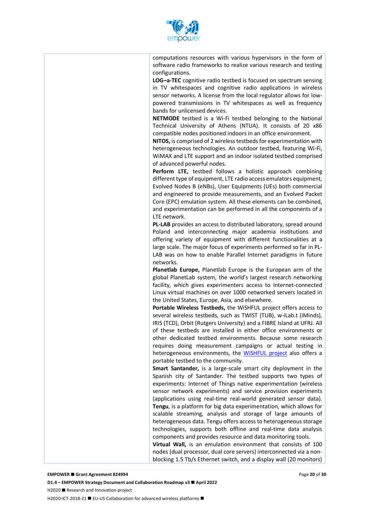

computations resources with various hypervisors in the form of software radio frameworks to realize various research and testing configurations.

**LOG–a-TEC** cognitive radio testbed is focused on spectrum sensing in TV whitespaces and cognitive radio applications in wireless sensor networks. A license from the local regulator allows for lowpowered transmissions in TV whitespaces as well as frequency bands for unlicensed devices.

**NETMODE** testbed is a Wi-Fi testbed belonging to the National Technical University of Athens (NTUA). It consists of 20 x86 compatible nodes positioned indoors in an office environment.

**NITOS,** is comprised of 2 wireless testbeds for experimentation with heterogeneous technologies. An outdoor testbed, featuring Wi-Fi, WiMAX and LTE support and an indoor isolated testbed comprised of advanced powerful nodes.

**Perform LTE,** testbed follows a holistic approach combining different type of equipment, LTE radio access emulators equipment, Evolved Nodes B (eNBs), User Equipments (UEs) both commercial and engineered to provide measurements, and an Evolved Packet Core (EPC) emulation system. All these elements can be combined, and experimentation can be performed in all the components of a LTE network.

**PL-LAB** provides an access to distributed laboratory, spread around Poland and interconnecting major academia institutions and offering variety of equipment with different functionalities at a large scale. The major focus of experiments performed so far in PL-LAB was on how to enable Parallel Internet paradigms in future networks.

**Planetlab Europe,** Planetlab Europe is the European arm of the global PlanetLab system, the world's largest research networking facility, which gives experimenters access to Internet-connected Linux virtual machines on over 1000 networked servers located in the United States, Europe, Asia, and elsewhere.

**Portable Wireless Testbeds,** the WiSHFUL project offers access to several wireless testbeds, such as TWIST (TUB), w-iLab.t (iMinds), IRIS (TCD), Orbit (Rutgers University) and a FIBRE Island at UFRJ. All of these testbeds are installed in either office environments or other dedicated testbed environments. Because some research requires doing measurement campaigns or actual testing in heterogeneous environments, the WiSHFUL project also offers a portable testbed to the community.

**Smart Santander,** is a large-scale smart city deployment in the Spanish city of Santander. The testbed supports two types of experiments: Internet of Things native experimentation (wireless sensor network experiments) and service provision experiments (applications using real-time real-world generated sensor data). **Tengu**, is a platform for big data experimentation, which allows for scalable streaming, analysis and storage of large amounts of heterogeneous data. Tengu offers access to heterogeneous storage technologies, supports both offline and real-time data analysis components and provides resource and data monitoring tools.

**Virtual Wall,** is an emulation environment that consists of 100 nodes (dual processor, dual core servers) interconnected via a nonblocking 1.5 Tb/s Ethernet switch, and a display wall (20 monitors)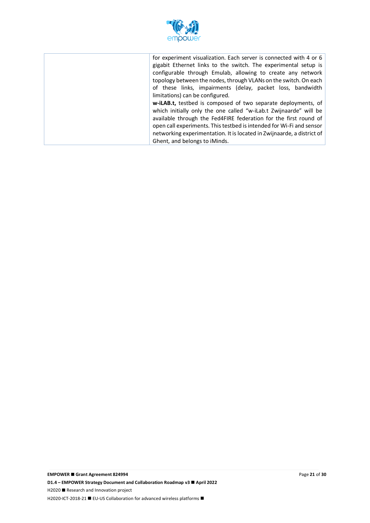

| for experiment visualization. Each server is connected with 4 or 6<br>gigabit Ethernet links to the switch. The experimental setup is<br>configurable through Emulab, allowing to create any network<br>topology between the nodes, through VLANs on the switch. On each<br>of these links, impairments (delay, packet loss, bandwidth |
|----------------------------------------------------------------------------------------------------------------------------------------------------------------------------------------------------------------------------------------------------------------------------------------------------------------------------------------|
| limitations) can be configured.                                                                                                                                                                                                                                                                                                        |
| w-iLAB.t, testbed is composed of two separate deployments, of<br>which initially only the one called "w-iLab.t Zwijnaarde" will be                                                                                                                                                                                                     |
| available through the Fed4FIRE federation for the first round of<br>open call experiments. This testbed is intended for Wi-Fi and sensor                                                                                                                                                                                               |
| networking experimentation. It is located in Zwijnaarde, a district of<br>Ghent, and belongs to iMinds.                                                                                                                                                                                                                                |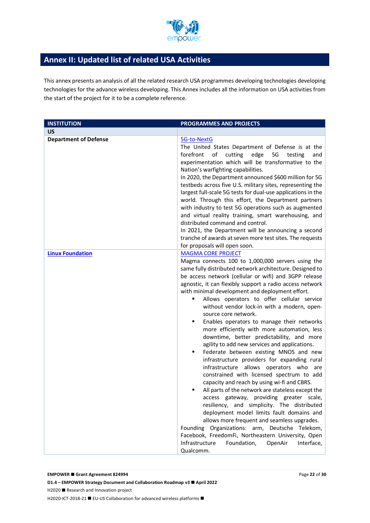

## **Annex II: Updated list of related USA Activities**

This annex presents an analysis of all the related research USA programmes developing technologies developing technologies for the advance wireless developing. This Annex includes all the information on USA activities from the start of the project for it to be a complete reference.

| <b>INSTITUTION</b>           | PROGRAMMES AND PROJECTS                                                                                                                                                                                                                                                                                                                                                                                                                                                                                                                                                                                                                                                                                                                                                                                                                                                                                                                                                                                                                                                                                                                                                                                                                                                                                       |
|------------------------------|---------------------------------------------------------------------------------------------------------------------------------------------------------------------------------------------------------------------------------------------------------------------------------------------------------------------------------------------------------------------------------------------------------------------------------------------------------------------------------------------------------------------------------------------------------------------------------------------------------------------------------------------------------------------------------------------------------------------------------------------------------------------------------------------------------------------------------------------------------------------------------------------------------------------------------------------------------------------------------------------------------------------------------------------------------------------------------------------------------------------------------------------------------------------------------------------------------------------------------------------------------------------------------------------------------------|
| <b>US</b>                    |                                                                                                                                                                                                                                                                                                                                                                                                                                                                                                                                                                                                                                                                                                                                                                                                                                                                                                                                                                                                                                                                                                                                                                                                                                                                                                               |
| <b>Department of Defense</b> | 5G-to-NextG<br>The United States Department of Defense is at the<br>5G<br>of cutting edge<br>forefront<br>testing<br>and<br>experimentation which will be transformative to the<br>Nation's warfighting capabilities.<br>In 2020, the Department announced \$600 million for 5G<br>testbeds across five U.S. military sites, representing the<br>largest full-scale 5G tests for dual-use applications in the<br>world. Through this effort, the Department partners<br>with industry to test 5G operations such as augmented<br>and virtual reality training, smart warehousing, and<br>distributed command and control.<br>In 2021, the Department will be announcing a second<br>tranche of awards at seven more test sites. The requests<br>for proposals will open soon.                                                                                                                                                                                                                                                                                                                                                                                                                                                                                                                                 |
| <b>Linux Foundation</b>      | <b>MAGMA CORE PROJECT</b><br>Magma connects 100 to 1,000,000 servers using the<br>same fully distributed network architecture. Designed to<br>be access network (cellular or wifi) and 3GPP release<br>agnostic, it can flexibly support a radio access network<br>with minimal development and deployment effort.<br>Allows operators to offer cellular service<br>٠<br>without vendor lock-in with a modern, open-<br>source core network.<br>Enables operators to manage their networks<br>٠<br>more efficiently with more automation, less<br>downtime, better predictability, and more<br>agility to add new services and applications.<br>Federate between existing MNOS and new<br>٠<br>infrastructure providers for expanding rural<br>infrastructure allows operators who are<br>constrained with licensed spectrum to add<br>capacity and reach by using wi-fi and CBRS.<br>All parts of the network are stateless except the<br>access gateway, providing greater scale,<br>resiliency, and simplicity. The distributed<br>deployment model limits fault domains and<br>allows more frequent and seamless upgrades.<br>Founding Organizations: arm, Deutsche Telekom,<br>Facebook, FreedomFi, Northeastern University, Open<br>Infrastructure<br>Foundation,<br>OpenAir<br>Interface,<br>Qualcomm. |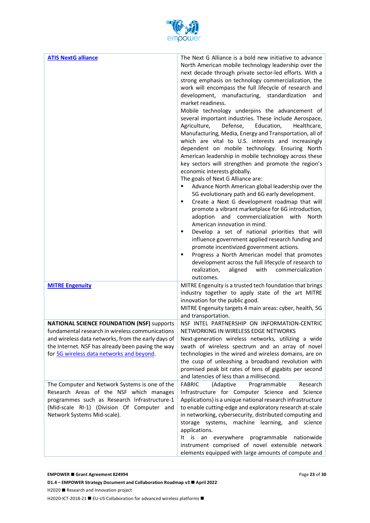

| <b>ATIS NextG alliance</b>                                                                                                                                                                                                                                   | The Next G Alliance is a bold new initiative to advance                                                                                                                                                                                                                                                                                                                                                                                                                                                                                                                                                                                                                                                                                                                                                                                                                                                                                                                                                                                                                                                                                                                                                                                                                                                                                                                                                                                                                 |
|--------------------------------------------------------------------------------------------------------------------------------------------------------------------------------------------------------------------------------------------------------------|-------------------------------------------------------------------------------------------------------------------------------------------------------------------------------------------------------------------------------------------------------------------------------------------------------------------------------------------------------------------------------------------------------------------------------------------------------------------------------------------------------------------------------------------------------------------------------------------------------------------------------------------------------------------------------------------------------------------------------------------------------------------------------------------------------------------------------------------------------------------------------------------------------------------------------------------------------------------------------------------------------------------------------------------------------------------------------------------------------------------------------------------------------------------------------------------------------------------------------------------------------------------------------------------------------------------------------------------------------------------------------------------------------------------------------------------------------------------------|
|                                                                                                                                                                                                                                                              | North American mobile technology leadership over the<br>next decade through private sector-led efforts. With a<br>strong emphasis on technology commercialization, the<br>work will encompass the full lifecycle of research and<br>development, manufacturing, standardization<br>and<br>market readiness.<br>Mobile technology underpins the advancement of<br>several important industries. These include Aerospace,<br>Defense,<br>Education,<br>Agriculture,<br>Healthcare,<br>Manufacturing, Media, Energy and Transportation, all of<br>which are vital to U.S. interests and increasingly<br>dependent on mobile technology. Ensuring North<br>American leadership in mobile technology across these<br>key sectors will strengthen and promote the region's<br>economic interests globally.<br>The goals of Next G Alliance are:<br>Advance North American global leadership over the<br>п<br>5G evolutionary path and 6G early development.<br>Create a Next G development roadmap that will<br>٠<br>promote a vibrant marketplace for 6G introduction,<br>and commercialization with<br>North<br>adoption<br>American innovation in mind.<br>Develop a set of national priorities that will<br>٠<br>influence government applied research funding and<br>promote incentivized government actions.<br>Progress a North American model that promotes<br>п<br>development across the full lifecycle of research to<br>realization,<br>with<br>commercialization |
| <b>MITRE Engenuity</b>                                                                                                                                                                                                                                       | aligned<br>outcomes.<br>MITRE Engenuity is a trusted tech foundation that brings                                                                                                                                                                                                                                                                                                                                                                                                                                                                                                                                                                                                                                                                                                                                                                                                                                                                                                                                                                                                                                                                                                                                                                                                                                                                                                                                                                                        |
|                                                                                                                                                                                                                                                              | industry together to apply state of the art MITRE<br>innovation for the public good.<br>MITRE Engenuity targets 4 main areas: cyber, health, 5G                                                                                                                                                                                                                                                                                                                                                                                                                                                                                                                                                                                                                                                                                                                                                                                                                                                                                                                                                                                                                                                                                                                                                                                                                                                                                                                         |
|                                                                                                                                                                                                                                                              | and transportation.                                                                                                                                                                                                                                                                                                                                                                                                                                                                                                                                                                                                                                                                                                                                                                                                                                                                                                                                                                                                                                                                                                                                                                                                                                                                                                                                                                                                                                                     |
| <b>NATIONAL SCIENCE FOUNDATION (NSF)</b> supports<br>fundamental research in wireless communications<br>and wireless data networks, from the early days of<br>the Internet. NSF has already been paving the way<br>for 5G wireless data networks and beyond. | NSF INTEL PARTNERSHIP ON INFORMATION-CENTRIC<br>NETWORKING IN WIRELESS EDGE NETWORKS<br>Next-generation wireless networks, utilizing a wide<br>swath of wireless spectrum and an array of novel<br>technologies in the wired and wireless domains, are on<br>the cusp of unleashing a broadband revolution with<br>promised peak bit rates of tens of gigabits per second<br>and latencies of less than a millisecond.                                                                                                                                                                                                                                                                                                                                                                                                                                                                                                                                                                                                                                                                                                                                                                                                                                                                                                                                                                                                                                                  |
| The Computer and Network Systems is one of the<br>Research Areas of the NSF which manages<br>programmes such as Research Infrastructure-1<br>(Mid-scale RI-1) (Division Of Computer and<br>Network Systems Mid-scale).                                       | <b>FABRIC</b><br>(Adaptive<br>Programmable<br>Research<br>Infrastructure for Computer Science and Science<br>Applications) is a unique national research infrastructure<br>to enable cutting-edge and exploratory research at-scale<br>in networking, cybersecurity, distributed computing and<br>storage systems, machine learning, and science<br>applications.<br>It is an everywhere<br>programmable<br>nationwide<br>instrument comprised of novel extensible network<br>elements equipped with large amounts of compute and                                                                                                                                                                                                                                                                                                                                                                                                                                                                                                                                                                                                                                                                                                                                                                                                                                                                                                                                       |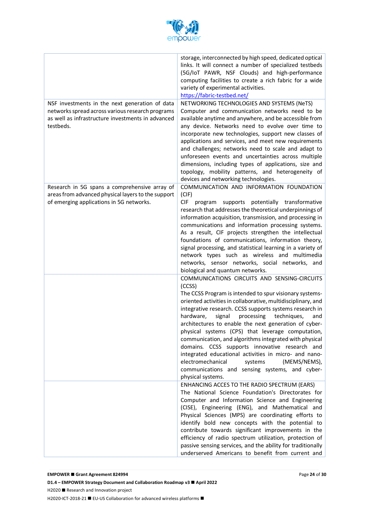

|                                                                                                                                                                      | storage, interconnected by high speed, dedicated optical<br>links. It will connect a number of specialized testbeds<br>(5G/IoT PAWR, NSF Clouds) and high-performance<br>computing facilities to create a rich fabric for a wide<br>variety of experimental activities.<br>https://fabric-testbed.net/                                                                                                                                                                                                                                                                                                                                                                                                                                                |
|----------------------------------------------------------------------------------------------------------------------------------------------------------------------|-------------------------------------------------------------------------------------------------------------------------------------------------------------------------------------------------------------------------------------------------------------------------------------------------------------------------------------------------------------------------------------------------------------------------------------------------------------------------------------------------------------------------------------------------------------------------------------------------------------------------------------------------------------------------------------------------------------------------------------------------------|
| NSF investments in the next generation of data<br>networks spread across various research programs<br>as well as infrastructure investments in advanced<br>testbeds. | NETWORKING TECHNOLOGIES AND SYSTEMS (NeTS)<br>Computer and communication networks need to be<br>available anytime and anywhere, and be accessible from<br>any device. Networks need to evolve over time to<br>incorporate new technologies, support new classes of<br>applications and services, and meet new requirements<br>and challenges; networks need to scale and adapt to<br>unforeseen events and uncertainties across multiple<br>dimensions, including types of applications, size and<br>topology, mobility patterns, and heterogeneity of<br>devices and networking technologies.                                                                                                                                                        |
| Research in 5G spans a comprehensive array of<br>areas from advanced physical layers to the support<br>of emerging applications in 5G networks.                      | COMMUNICATION AND INFORMATION FOUNDATION<br>(CIF)<br><b>CIF</b><br>program supports potentially transformative<br>research that addresses the theoretical underpinnings of<br>information acquisition, transmission, and processing in<br>communications and information processing systems.<br>As a result, CIF projects strengthen the intellectual<br>foundations of communications, information theory,<br>signal processing, and statistical learning in a variety of<br>network types such as wireless and multimedia<br>networks, sensor networks, social networks, and                                                                                                                                                                        |
|                                                                                                                                                                      | biological and quantum networks.<br>COMMUNICATIONS CIRCUITS AND SENSING-CIRCUITS<br>(CCSS)<br>The CCSS Program is intended to spur visionary systems-<br>oriented activities in collaborative, multidisciplinary, and<br>integrative research. CCSS supports systems research in<br>hardware,<br>signal<br>processing<br>techniques,<br>and<br>architectures to enable the next generation of cyber-<br>physical systems (CPS) that leverage computation,<br>communication, and algorithms integrated with physical<br>domains. CCSS supports innovative research and<br>integrated educational activities in micro- and nano-<br>electromechanical<br>(MEMS/NEMS),<br>systems<br>communications and sensing systems, and cyber-<br>physical systems. |
|                                                                                                                                                                      | ENHANCING ACCES TO THE RADIO SPECTRUM (EARS)<br>The National Science Foundation's Directorates for<br>Computer and Information Science and Engineering<br>(CISE), Engineering (ENG), and Mathematical and<br>Physical Sciences (MPS) are coordinating efforts to<br>identify bold new concepts with the potential to<br>contribute towards significant improvements in the<br>efficiency of radio spectrum utilization, protection of<br>passive sensing services, and the ability for traditionally<br>underserved Americans to benefit from current and                                                                                                                                                                                             |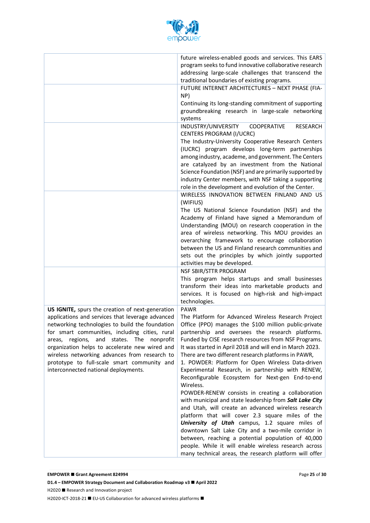

|                                                                                                                                                                                                                                                                                                                                                                                                                                                                 | future wireless-enabled goods and services. This EARS<br>program seeks to fund innovative collaborative research<br>addressing large-scale challenges that transcend the<br>traditional boundaries of existing programs.                                                                                                                                                                                                                                                                                                                                                                                                                                                                                                                                                                                                                                                                                                                                                                                                                          |
|-----------------------------------------------------------------------------------------------------------------------------------------------------------------------------------------------------------------------------------------------------------------------------------------------------------------------------------------------------------------------------------------------------------------------------------------------------------------|---------------------------------------------------------------------------------------------------------------------------------------------------------------------------------------------------------------------------------------------------------------------------------------------------------------------------------------------------------------------------------------------------------------------------------------------------------------------------------------------------------------------------------------------------------------------------------------------------------------------------------------------------------------------------------------------------------------------------------------------------------------------------------------------------------------------------------------------------------------------------------------------------------------------------------------------------------------------------------------------------------------------------------------------------|
|                                                                                                                                                                                                                                                                                                                                                                                                                                                                 | FUTURE INTERNET ARCHITECTURES - NEXT PHASE (FIA-<br>NP)<br>Continuing its long-standing commitment of supporting<br>groundbreaking research in large-scale networking<br>systems                                                                                                                                                                                                                                                                                                                                                                                                                                                                                                                                                                                                                                                                                                                                                                                                                                                                  |
|                                                                                                                                                                                                                                                                                                                                                                                                                                                                 | INDUSTRY/UNIVERSITY<br>COOPERATIVE<br><b>RESEARCH</b><br>CENTERS PROGRAM (I/UCRC)<br>The Industry-University Cooperative Research Centers<br>(IUCRC) program develops long-term partnerships<br>among industry, academe, and government. The Centers<br>are catalyzed by an investment from the National<br>Science Foundation (NSF) and are primarily supported by<br>industry Center members, with NSF taking a supporting<br>role in the development and evolution of the Center.                                                                                                                                                                                                                                                                                                                                                                                                                                                                                                                                                              |
|                                                                                                                                                                                                                                                                                                                                                                                                                                                                 | WIRELESS INNOVATION BETWEEN FINLAND AND US<br>(WIFIUS)<br>The US National Science Foundation (NSF) and the<br>Academy of Finland have signed a Memorandum of<br>Understanding (MOU) on research cooperation in the<br>area of wireless networking. This MOU provides an<br>overarching framework to encourage collaboration<br>between the US and Finland research communities and<br>sets out the principles by which jointly supported<br>activities may be developed.                                                                                                                                                                                                                                                                                                                                                                                                                                                                                                                                                                          |
|                                                                                                                                                                                                                                                                                                                                                                                                                                                                 | NSF SBIR/STTR PROGRAM<br>This program helps startups and small businesses<br>transform their ideas into marketable products and<br>services. It is focused on high-risk and high-impact<br>technologies.                                                                                                                                                                                                                                                                                                                                                                                                                                                                                                                                                                                                                                                                                                                                                                                                                                          |
| US IGNITE, spurs the creation of next-generation<br>applications and services that leverage advanced<br>networking technologies to build the foundation<br>for smart communities, including cities, rural<br>regions,<br>and<br>states.<br>The<br>nonprofit<br>areas,<br>organization helps to accelerate new wired and<br>wireless networking advances from research to<br>prototype to full-scale smart community and<br>interconnected national deployments. | <b>PAWR</b><br>The Platform for Advanced Wireless Research Project<br>Office (PPO) manages the \$100 million public-private<br>partnership and oversees the research platforms.<br>Funded by CISE research resources from NSF Programs.<br>It was started in April 2018 and will end in March 2023.<br>There are two different research platforms in PAWR,<br>1. POWDER: Platform for Open Wireless Data-driven<br>Experimental Research, in partnership with RENEW,<br>Reconfigurable Ecosystem for Next-gen End-to-end<br>Wireless.<br>POWDER-RENEW consists in creating a collaboration<br>with municipal and state leadership from Salt Lake City<br>and Utah, will create an advanced wireless research<br>platform that will cover 2.3 square miles of the<br>University of Utah campus, 1.2 square miles of<br>downtown Salt Lake City and a two-mile corridor in<br>between, reaching a potential population of 40,000<br>people. While it will enable wireless research across<br>many technical areas, the research platform will offer |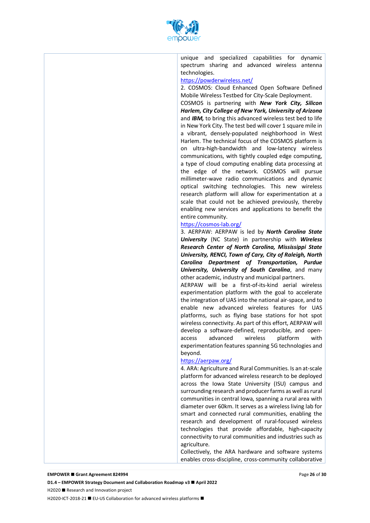

unique and specialized capabilities for dynamic spectrum sharing and advanced wireless antenna technologies.

#### https://powderwireless.net/

2. COSMOS: Cloud Enhanced Open Software Defined Mobile Wireless Testbed for City-Scale Deployment.

COSMOS is partnering with *New York City, Silicon Harlem, City College of New York, University of Arizona* and *IBM,* to bring this advanced wireless test bed to life in New York City. The test bed will cover 1 square mile in a vibrant, densely-populated neighborhood in West Harlem. The technical focus of the COSMOS platform is on ultra-high-bandwidth and low-latency wireless communications, with tightly coupled edge computing, a type of cloud computing enabling data processing at the edge of the network. COSMOS will pursue millimeter-wave radio communications and dynamic optical switching technologies. This new wireless research platform will allow for experimentation at a scale that could not be achieved previously, thereby enabling new services and applications to benefit the entire community.

#### https://cosmos-lab.org/

3. AERPAW: AERPAW is led by *North Carolina State University* (NC State) in partnership with *Wireless Research Center of North Carolina, Mississippi State University, RENCI, Town of Cary, City of Raleigh, North Carolina Department of Transportation, Purdue University, University of South Carolina*, and many other academic, industry and municipal partners.

AERPAW will be a first-of-its-kind aerial wireless experimentation platform with the goal to accelerate the integration of UAS into the national air-space, and to enable new advanced wireless features for UAS platforms, such as flying base stations for hot spot wireless connectivity. As part of this effort, AERPAW will develop a software-defined, reproducible, and openaccess advanced wireless platform with experimentation features spanning 5G technologies and beyond.

#### https://aerpaw.org/

4. ARA: Agriculture and Rural Communities. Is an at-scale platform for advanced wireless research to be deployed across the Iowa State University (ISU) campus and surrounding research and producer farms as well as rural communities in central Iowa, spanning a rural area with diameter over 60km. It serves as a wireless living lab for smart and connected rural communities, enabling the research and development of rural-focused wireless technologies that provide affordable, high-capacity connectivity to rural communities and industries such as agriculture.

Collectively, the ARA hardware and software systems enables cross-discipline, cross-community collaborative

#### **EMPOWER ■ Grant Agreement 824994**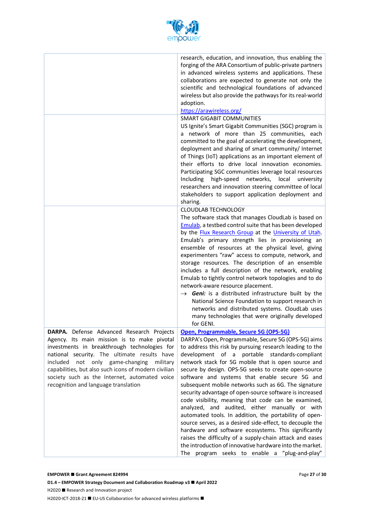

|                                                                                                                                                                                                                                                                                                                                                                                          | research, education, and innovation, thus enabling the<br>forging of the ARA Consortium of public-private partners<br>in advanced wireless systems and applications. These<br>collaborations are expected to generate not only the<br>scientific and technological foundations of advanced<br>wireless but also provide the pathways for its real-world<br>adoption.<br>https://arawireless.org/                                                                                                                                                                                                                                                                                                                                                                                                                                                                                                                                                                  |
|------------------------------------------------------------------------------------------------------------------------------------------------------------------------------------------------------------------------------------------------------------------------------------------------------------------------------------------------------------------------------------------|-------------------------------------------------------------------------------------------------------------------------------------------------------------------------------------------------------------------------------------------------------------------------------------------------------------------------------------------------------------------------------------------------------------------------------------------------------------------------------------------------------------------------------------------------------------------------------------------------------------------------------------------------------------------------------------------------------------------------------------------------------------------------------------------------------------------------------------------------------------------------------------------------------------------------------------------------------------------|
|                                                                                                                                                                                                                                                                                                                                                                                          | <b>SMART GIGABIT COMMUNITIES</b><br>US Ignite's Smart Gigabit Communities (SGC) program is<br>a network of more than 25 communities, each<br>committed to the goal of accelerating the development,<br>deployment and sharing of smart community/ Internet<br>of Things (IoT) applications as an important element of<br>their efforts to drive local innovation economies.<br>Participating SGC communities leverage local resources<br>Including high-speed<br>networks,<br>local<br>university                                                                                                                                                                                                                                                                                                                                                                                                                                                                 |
|                                                                                                                                                                                                                                                                                                                                                                                          | researchers and innovation steering committee of local<br>stakeholders to support application deployment and<br>sharing.                                                                                                                                                                                                                                                                                                                                                                                                                                                                                                                                                                                                                                                                                                                                                                                                                                          |
|                                                                                                                                                                                                                                                                                                                                                                                          | <b>CLOUDLAB TECHNOLOGY</b><br>The software stack that manages CloudLab is based on<br>Emulab, a testbed control suite that has been developed<br>by the Flux Research Group at the University of Utah.<br>Emulab's primary strength lies in provisioning an<br>ensemble of resources at the physical level, giving<br>experimenters "raw" access to compute, network, and<br>storage resources. The description of an ensemble<br>includes a full description of the network, enabling<br>Emulab to tightly control network topologies and to do<br>network-aware resource placement.<br>$\rightarrow$ Geni: is a distributed infrastructure built by the<br>National Science Foundation to support research in<br>networks and distributed systems. CloudLab uses<br>many technologies that were originally developed<br>for GENI.                                                                                                                               |
| DARPA. Defense Advanced Research Projects<br>Agency. Its main mission is to make pivotal<br>investments in breakthrough technologies for<br>national security. The ultimate results have<br>included not only game-changing<br>military<br>capabilities, but also such icons of modern civilian<br>society such as the Internet, automated voice<br>recognition and language translation | Open, Programmable, Secure 5G (OPS-5G)<br>DARPA's Open, Programmable, Secure 5G (OPS-5G) aims<br>to address this risk by pursuing research leading to the<br>development of a portable standards-compliant<br>network stack for 5G mobile that is open source and<br>secure by design. OPS-5G seeks to create open-source<br>software and systems that enable secure 5G and<br>subsequent mobile networks such as 6G. The signature<br>security advantage of open-source software is increased<br>code visibility, meaning that code can be examined,<br>analyzed, and audited, either manually or with<br>automated tools. In addition, the portability of open-<br>source serves, as a desired side-effect, to decouple the<br>hardware and software ecosystems. This significantly<br>raises the difficulty of a supply-chain attack and eases<br>the introduction of innovative hardware into the market.<br>program seeks to enable a "plug-and-play"<br>The |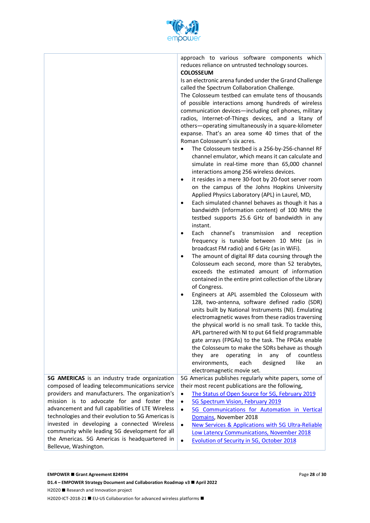

|                                                                                                                                                                                                                                                                                                                                                                                                                                                                                       | approach to various software components which<br>reduces reliance on untrusted technology sources.<br><b>COLOSSEUM</b><br>Is an electronic arena funded under the Grand Challenge<br>called the Spectrum Collaboration Challenge.<br>The Colosseum testbed can emulate tens of thousands<br>of possible interactions among hundreds of wireless<br>communication devices-including cell phones, military<br>radios, Internet-of-Things devices, and a litany of<br>others-operating simultaneously in a square-kilometer<br>expanse. That's an area some 40 times that of the<br>Roman Colosseum's six acres.<br>The Colosseum testbed is a 256-by-256-channel RF<br>$\bullet$<br>channel emulator, which means it can calculate and<br>simulate in real-time more than 65,000 channel<br>interactions among 256 wireless devices.<br>it resides in a mere 30-foot by 20-foot server room<br>٠<br>on the campus of the Johns Hopkins University<br>Applied Physics Laboratory (APL) in Laurel, MD,<br>Each simulated channel behaves as though it has a<br>٠<br>bandwidth (information content) of 100 MHz the<br>testbed supports 25.6 GHz of bandwidth in any<br>instant.<br>Each channel's<br>transmission<br>and<br>reception<br>frequency is tunable between 10 MHz (as in<br>broadcast FM radio) and 6 GHz (as in WiFi).<br>The amount of digital RF data coursing through the<br>٠<br>Colosseum each second, more than 52 terabytes,<br>exceeds the estimated amount of information<br>contained in the entire print collection of the Library<br>of Congress.<br>Engineers at APL assembled the Colosseum with<br>٠<br>128, two-antenna, software defined radio (SDR)<br>units built by National Instruments (NI). Emulating<br>electromagnetic waves from these radios traversing<br>the physical world is no small task. To tackle this,<br>APL partnered with NI to put 64 field programmable<br>gate arrays (FPGAs) to the task. The FPGAs enable<br>the Colosseum to make the SDRs behave as though<br>any of<br>are<br>operating<br>in<br>countless<br>they<br>like<br>environments,<br>each<br>designed<br>an<br>electromagnetic movie set. |
|---------------------------------------------------------------------------------------------------------------------------------------------------------------------------------------------------------------------------------------------------------------------------------------------------------------------------------------------------------------------------------------------------------------------------------------------------------------------------------------|------------------------------------------------------------------------------------------------------------------------------------------------------------------------------------------------------------------------------------------------------------------------------------------------------------------------------------------------------------------------------------------------------------------------------------------------------------------------------------------------------------------------------------------------------------------------------------------------------------------------------------------------------------------------------------------------------------------------------------------------------------------------------------------------------------------------------------------------------------------------------------------------------------------------------------------------------------------------------------------------------------------------------------------------------------------------------------------------------------------------------------------------------------------------------------------------------------------------------------------------------------------------------------------------------------------------------------------------------------------------------------------------------------------------------------------------------------------------------------------------------------------------------------------------------------------------------------------------------------------------------------------------------------------------------------------------------------------------------------------------------------------------------------------------------------------------------------------------------------------------------------------------------------------------------------------------------------------------------------------------------------------------------------------------------------------------------------------------------------------------------------------------------------|
| 5G AMERICAS is an industry trade organization<br>composed of leading telecommunications service<br>providers and manufacturers. The organization's<br>mission is to advocate for and foster the<br>advancement and full capabilities of LTE Wireless<br>technologies and their evolution to 5G Americas is<br>invested in developing a connected Wireless<br>community while leading 5G development for all<br>the Americas. 5G Americas is headquartered in<br>Bellevue, Washington. | 5G Americas publishes regularly white papers, some of<br>their most recent publications are the following,<br>The Status of Open Source for 5G, February 2019<br>$\bullet$<br>5G Spectrum Vision, February 2019<br>$\bullet$<br>5G Communications for Automation in Vertical<br>$\bullet$<br>Domains, November 2018<br>$\bullet$<br>New Services & Applications with 5G Ultra-Reliable<br><b>Low Latency Communications, November 2018</b><br><b>Evolution of Security in 5G, October 2018</b><br>$\bullet$                                                                                                                                                                                                                                                                                                                                                                                                                                                                                                                                                                                                                                                                                                                                                                                                                                                                                                                                                                                                                                                                                                                                                                                                                                                                                                                                                                                                                                                                                                                                                                                                                                                |

**D1.4 − EMPOWER Strategy Document and Collaboration Roadmap v3 ■ April 2022** 

H2020 ■ Research and Innovation project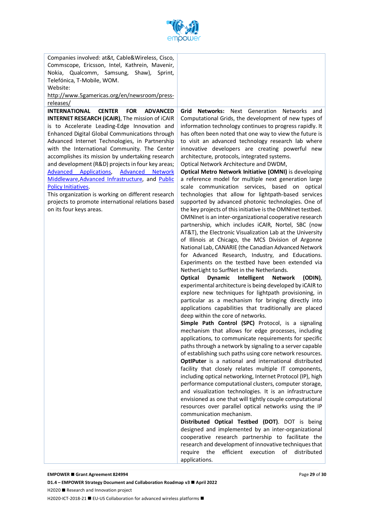

Companies involved: at&t, Cable&Wireless, Cisco, Commscope, Ericsson, Intel, Kathrein, Mavenir, Nokia, Qualcomm, Samsung, Shaw), Sprint, Telefónica, T-Mobile, WOM. Website:

http://www.5gamericas.org/en/newsroom/pressreleases/

**INTERNATIONAL CENTER FOR ADVANCED INTERNET RESEARCH (iCAIR)**, The mission of iCAIR is to Accelerate Leading-Edge Innovation and Enhanced Digital Global Communications through Advanced Internet Technologies, in Partnership with the International Community. The Center accomplishes its mission by undertaking research and development (R&D) projects in four key areas; Advanced Applications, Advanced Network Middleware,Advanced Infrastructure, and Public Policy Initiatives.

This organization is working on different research projects to promote international relations based on its four keys areas.

**Grid Networks:** Next Generation Networks and Computational Grids, the development of new types of information technology continues to progress rapidly. It has often been noted that one way to view the future is to visit an advanced technology research lab where innovative developers are creating powerful new architecture, protocols, integrated systems.

Optical Network Architecture and DWDM,

**Optical Metro Network Initiative (OMNI)** is developing a reference model for multiple next generation large scale communication services, based on optical technologies that allow for lightpath-based services supported by advanced photonic technologies. One of the key projects of this initiative is the OMNInet testbed. OMNInet is an inter-organizational cooperative research partnership, which includes iCAIR, Nortel, SBC (now AT&T), the Electronic Visualization Lab at the University of Illinois at Chicago, the MCS Division of Argonne National Lab, CANARIE (the Canadian Advanced Network for Advanced Research, Industry, and Educations. Experiments on the testbed have been extended via NetherLight to SurfNet in the Netherlands.

**Optical Dynamic Intelligent Network (ODIN)**, experimental architecture is being developed by iCAIR to explore new techniques for lightpath provisioning, in particular as a mechanism for bringing directly into applications capabilities that traditionally are placed deep within the core of networks.

**Simple Path Control (SPC)** Protocol, is a signaling mechanism that allows for edge processes, including applications, to communicate requirements for specific paths through a network by signaling to a server capable of establishing such paths using core network resources. **OptIPuter** is a national and international distributed facility that closely relates multiple IT components, including optical networking, Internet Protocol (IP), high performance computational clusters, computer storage, and visualization technologies. It is an infrastructure envisioned as one that will tightly couple computational resources over parallel optical networks using the IP communication mechanism.

**Distributed Optical Testbed (DOT)**. DOT is being designed and implemented by an inter-organizational cooperative research partnership to facilitate the research and development of innovative techniques that require the efficient execution of distributed applications.